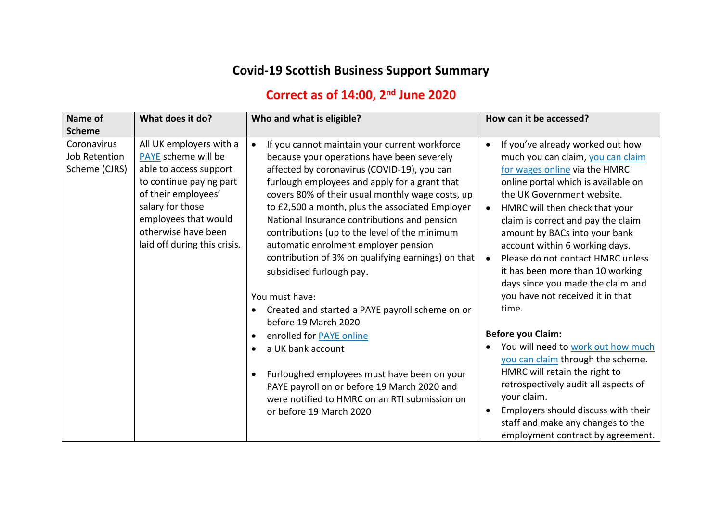## **Covid-19 Scottish Business Support Summary**

## **Correct as of 14:00, 2 nd June 2020**

| Name of                                              | What does it do?                                                                                                                                                                                                              | Who and what is eligible?                                                                                                                                                                                                                                                                                                                                                                                                                                                                                                                                                                                       | How can it be accessed?                                                                                                                                                                                                                                                                                                                                                                                                                                                                                                  |
|------------------------------------------------------|-------------------------------------------------------------------------------------------------------------------------------------------------------------------------------------------------------------------------------|-----------------------------------------------------------------------------------------------------------------------------------------------------------------------------------------------------------------------------------------------------------------------------------------------------------------------------------------------------------------------------------------------------------------------------------------------------------------------------------------------------------------------------------------------------------------------------------------------------------------|--------------------------------------------------------------------------------------------------------------------------------------------------------------------------------------------------------------------------------------------------------------------------------------------------------------------------------------------------------------------------------------------------------------------------------------------------------------------------------------------------------------------------|
| <b>Scheme</b>                                        |                                                                                                                                                                                                                               |                                                                                                                                                                                                                                                                                                                                                                                                                                                                                                                                                                                                                 |                                                                                                                                                                                                                                                                                                                                                                                                                                                                                                                          |
| Coronavirus<br><b>Job Retention</b><br>Scheme (CJRS) | All UK employers with a<br>PAYE scheme will be<br>able to access support<br>to continue paying part<br>of their employees'<br>salary for those<br>employees that would<br>otherwise have been<br>laid off during this crisis. | If you cannot maintain your current workforce<br>$\bullet$<br>because your operations have been severely<br>affected by coronavirus (COVID-19), you can<br>furlough employees and apply for a grant that<br>covers 80% of their usual monthly wage costs, up<br>to £2,500 a month, plus the associated Employer<br>National Insurance contributions and pension<br>contributions (up to the level of the minimum<br>automatic enrolment employer pension<br>contribution of 3% on qualifying earnings) on that<br>subsidised furlough pay.<br>You must have:<br>Created and started a PAYE payroll scheme on or | If you've already worked out how<br>$\bullet$<br>much you can claim, you can claim<br>for wages online via the HMRC<br>online portal which is available on<br>the UK Government website.<br>HMRC will then check that your<br>$\bullet$<br>claim is correct and pay the claim<br>amount by BACs into your bank<br>account within 6 working days.<br>Please do not contact HMRC unless<br>$\bullet$<br>it has been more than 10 working<br>days since you made the claim and<br>you have not received it in that<br>time. |
|                                                      |                                                                                                                                                                                                                               | before 19 March 2020<br>enrolled for <b>PAYE</b> online                                                                                                                                                                                                                                                                                                                                                                                                                                                                                                                                                         | <b>Before you Claim:</b>                                                                                                                                                                                                                                                                                                                                                                                                                                                                                                 |
|                                                      |                                                                                                                                                                                                                               | a UK bank account<br>Furloughed employees must have been on your<br>PAYE payroll on or before 19 March 2020 and<br>were notified to HMRC on an RTI submission on<br>or before 19 March 2020                                                                                                                                                                                                                                                                                                                                                                                                                     | You will need to work out how much<br>you can claim through the scheme.<br>HMRC will retain the right to<br>retrospectively audit all aspects of<br>your claim.<br>Employers should discuss with their<br>$\bullet$<br>staff and make any changes to the<br>employment contract by agreement.                                                                                                                                                                                                                            |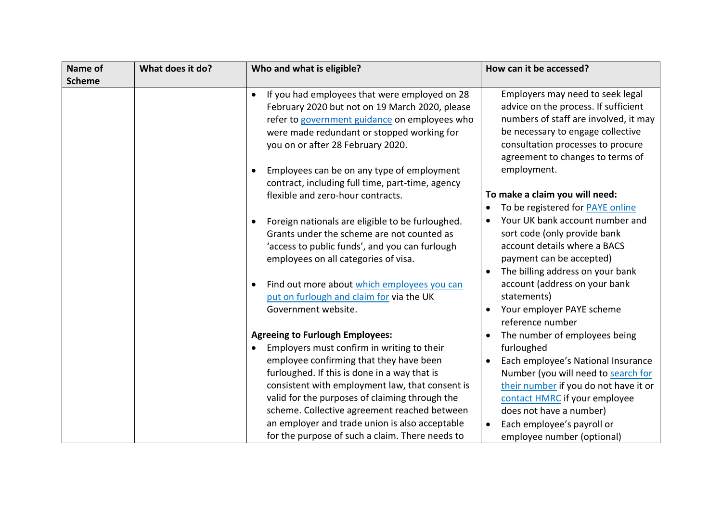| Name of<br><b>Scheme</b> | What does it do? | Who and what is eligible?                                                                                                                                                                                                                                                                               | How can it be accessed?                                                                                                                                                                                                         |
|--------------------------|------------------|---------------------------------------------------------------------------------------------------------------------------------------------------------------------------------------------------------------------------------------------------------------------------------------------------------|---------------------------------------------------------------------------------------------------------------------------------------------------------------------------------------------------------------------------------|
|                          |                  | If you had employees that were employed on 28<br>$\bullet$<br>February 2020 but not on 19 March 2020, please<br>refer to government guidance on employees who<br>were made redundant or stopped working for<br>you on or after 28 February 2020.                                                        | Employers may need to seek legal<br>advice on the process. If sufficient<br>numbers of staff are involved, it may<br>be necessary to engage collective<br>consultation processes to procure<br>agreement to changes to terms of |
|                          |                  | Employees can be on any type of employment<br>$\bullet$<br>contract, including full time, part-time, agency<br>flexible and zero-hour contracts.                                                                                                                                                        | employment.<br>To make a claim you will need:                                                                                                                                                                                   |
|                          |                  | Foreign nationals are eligible to be furloughed.<br>$\bullet$                                                                                                                                                                                                                                           | To be registered for PAYE online<br>Your UK bank account number and                                                                                                                                                             |
|                          |                  | Grants under the scheme are not counted as<br>'access to public funds', and you can furlough<br>employees on all categories of visa.                                                                                                                                                                    | sort code (only provide bank<br>account details where a BACS<br>payment can be accepted)<br>The billing address on your bank                                                                                                    |
|                          |                  | Find out more about which employees you can<br>$\bullet$<br>put on furlough and claim for via the UK                                                                                                                                                                                                    | account (address on your bank<br>statements)                                                                                                                                                                                    |
|                          |                  | Government website.                                                                                                                                                                                                                                                                                     | Your employer PAYE scheme<br>reference number                                                                                                                                                                                   |
|                          |                  | <b>Agreeing to Furlough Employees:</b>                                                                                                                                                                                                                                                                  | The number of employees being                                                                                                                                                                                                   |
|                          |                  | Employers must confirm in writing to their<br>$\bullet$<br>employee confirming that they have been<br>furloughed. If this is done in a way that is<br>consistent with employment law, that consent is<br>valid for the purposes of claiming through the<br>scheme. Collective agreement reached between | furloughed<br>Each employee's National Insurance<br>Number (you will need to search for<br>their number if you do not have it or<br>contact HMRC if your employee<br>does not have a number)                                    |
|                          |                  | an employer and trade union is also acceptable<br>for the purpose of such a claim. There needs to                                                                                                                                                                                                       | Each employee's payroll or<br>employee number (optional)                                                                                                                                                                        |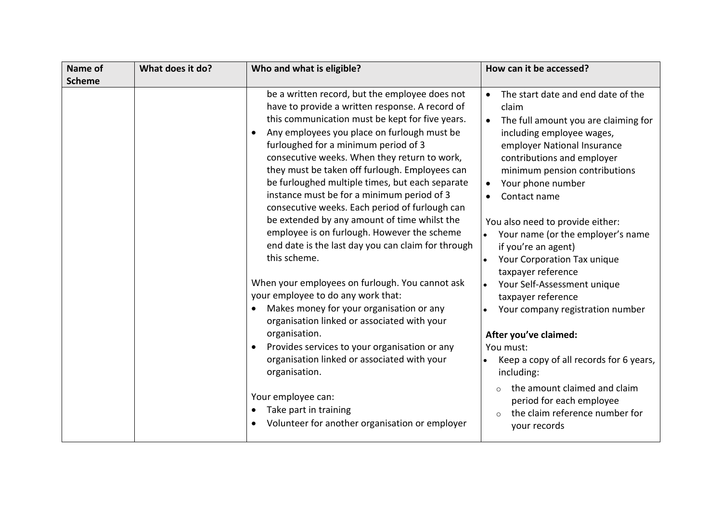| Name of       | What does it do? | Who and what is eligible?                                                                                                                                                                                                                                                                                                                                                                                                                                                                                                                                                                                                                                                                                                                                                                                                                                                                                                                                                                                                                                                                    | How can it be accessed?                                                                                                                                                                                                                                                                                                                                                                                                                                                                                                                                                                                                                                                                                                                |
|---------------|------------------|----------------------------------------------------------------------------------------------------------------------------------------------------------------------------------------------------------------------------------------------------------------------------------------------------------------------------------------------------------------------------------------------------------------------------------------------------------------------------------------------------------------------------------------------------------------------------------------------------------------------------------------------------------------------------------------------------------------------------------------------------------------------------------------------------------------------------------------------------------------------------------------------------------------------------------------------------------------------------------------------------------------------------------------------------------------------------------------------|----------------------------------------------------------------------------------------------------------------------------------------------------------------------------------------------------------------------------------------------------------------------------------------------------------------------------------------------------------------------------------------------------------------------------------------------------------------------------------------------------------------------------------------------------------------------------------------------------------------------------------------------------------------------------------------------------------------------------------------|
| <b>Scheme</b> |                  |                                                                                                                                                                                                                                                                                                                                                                                                                                                                                                                                                                                                                                                                                                                                                                                                                                                                                                                                                                                                                                                                                              |                                                                                                                                                                                                                                                                                                                                                                                                                                                                                                                                                                                                                                                                                                                                        |
|               |                  | be a written record, but the employee does not<br>have to provide a written response. A record of<br>this communication must be kept for five years.<br>Any employees you place on furlough must be<br>furloughed for a minimum period of 3<br>consecutive weeks. When they return to work,<br>they must be taken off furlough. Employees can<br>be furloughed multiple times, but each separate<br>instance must be for a minimum period of 3<br>consecutive weeks. Each period of furlough can<br>be extended by any amount of time whilst the<br>employee is on furlough. However the scheme<br>end date is the last day you can claim for through<br>this scheme.<br>When your employees on furlough. You cannot ask<br>your employee to do any work that:<br>Makes money for your organisation or any<br>organisation linked or associated with your<br>organisation.<br>Provides services to your organisation or any<br>organisation linked or associated with your<br>organisation.<br>Your employee can:<br>Take part in training<br>Volunteer for another organisation or employer | The start date and end date of the<br>claim<br>The full amount you are claiming for<br>including employee wages,<br>employer National Insurance<br>contributions and employer<br>minimum pension contributions<br>Your phone number<br>Contact name<br>You also need to provide either:<br>Your name (or the employer's name<br>if you're an agent)<br>Your Corporation Tax unique<br>taxpayer reference<br>Your Self-Assessment unique<br>taxpayer reference<br>Your company registration number<br>After you've claimed:<br>You must:<br>Keep a copy of all records for 6 years,<br>including:<br>the amount claimed and claim<br>$\Omega$<br>period for each employee<br>the claim reference number for<br>$\Omega$<br>your records |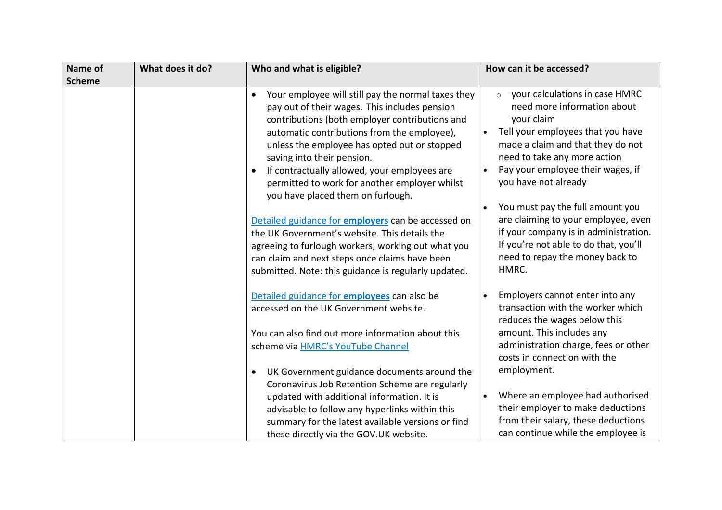| Name of       | What does it do? | Who and what is eligible?                                                                                                                                                                                                                                                                                                                                                                                                                                                                                                                                                                                                                                                                                                 | How can it be accessed?                                                                                                                                                                                                                                                                                                                                                                                                                                                             |
|---------------|------------------|---------------------------------------------------------------------------------------------------------------------------------------------------------------------------------------------------------------------------------------------------------------------------------------------------------------------------------------------------------------------------------------------------------------------------------------------------------------------------------------------------------------------------------------------------------------------------------------------------------------------------------------------------------------------------------------------------------------------------|-------------------------------------------------------------------------------------------------------------------------------------------------------------------------------------------------------------------------------------------------------------------------------------------------------------------------------------------------------------------------------------------------------------------------------------------------------------------------------------|
| <b>Scheme</b> |                  |                                                                                                                                                                                                                                                                                                                                                                                                                                                                                                                                                                                                                                                                                                                           |                                                                                                                                                                                                                                                                                                                                                                                                                                                                                     |
|               |                  | Your employee will still pay the normal taxes they<br>$\bullet$<br>pay out of their wages. This includes pension<br>contributions (both employer contributions and<br>automatic contributions from the employee),<br>unless the employee has opted out or stopped<br>saving into their pension.<br>If contractually allowed, your employees are<br>$\bullet$<br>permitted to work for another employer whilst<br>you have placed them on furlough.<br>Detailed guidance for employers can be accessed on<br>the UK Government's website. This details the<br>agreeing to furlough workers, working out what you<br>can claim and next steps once claims have been<br>submitted. Note: this guidance is regularly updated. | your calculations in case HMRC<br>$\circ$<br>need more information about<br>your claim<br>Tell your employees that you have<br>made a claim and that they do not<br>need to take any more action<br>Pay your employee their wages, if<br>$\bullet$<br>you have not already<br>You must pay the full amount you<br>are claiming to your employee, even<br>if your company is in administration.<br>If you're not able to do that, you'll<br>need to repay the money back to<br>HMRC. |
|               |                  | Detailed guidance for employees can also be<br>accessed on the UK Government website.<br>You can also find out more information about this<br>scheme via HMRC's YouTube Channel<br>UK Government guidance documents around the<br>$\bullet$<br>Coronavirus Job Retention Scheme are regularly<br>updated with additional information. It is<br>advisable to follow any hyperlinks within this<br>summary for the latest available versions or find<br>these directly via the GOV.UK website.                                                                                                                                                                                                                              | Employers cannot enter into any<br>transaction with the worker which<br>reduces the wages below this<br>amount. This includes any<br>administration charge, fees or other<br>costs in connection with the<br>employment.<br>Where an employee had authorised<br>their employer to make deductions<br>from their salary, these deductions<br>can continue while the employee is                                                                                                      |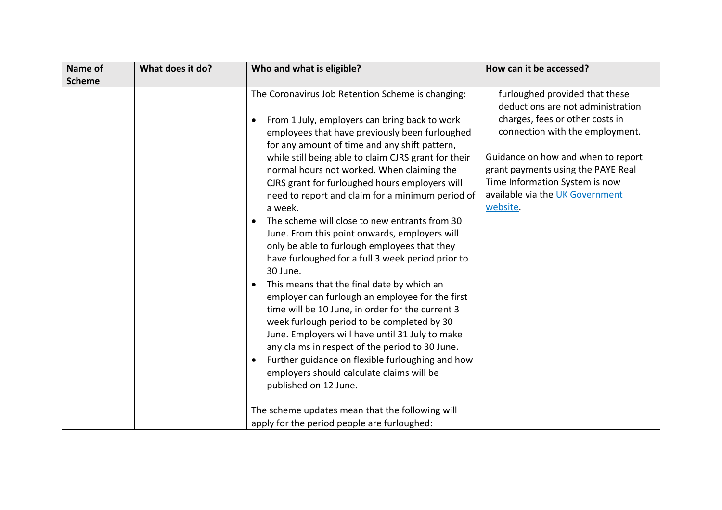| Name of       | What does it do? | Who and what is eligible?                                                                                                                                                                                                                                                                                                                                                                                                                                                                                                                                                                                                                                                                                                                                                                                                                                                                                                                                                                                                                                                                        | How can it be accessed?                                                                                                                                                                                                                                                                                |
|---------------|------------------|--------------------------------------------------------------------------------------------------------------------------------------------------------------------------------------------------------------------------------------------------------------------------------------------------------------------------------------------------------------------------------------------------------------------------------------------------------------------------------------------------------------------------------------------------------------------------------------------------------------------------------------------------------------------------------------------------------------------------------------------------------------------------------------------------------------------------------------------------------------------------------------------------------------------------------------------------------------------------------------------------------------------------------------------------------------------------------------------------|--------------------------------------------------------------------------------------------------------------------------------------------------------------------------------------------------------------------------------------------------------------------------------------------------------|
|               |                  |                                                                                                                                                                                                                                                                                                                                                                                                                                                                                                                                                                                                                                                                                                                                                                                                                                                                                                                                                                                                                                                                                                  |                                                                                                                                                                                                                                                                                                        |
| <b>Scheme</b> |                  | The Coronavirus Job Retention Scheme is changing:<br>From 1 July, employers can bring back to work<br>$\bullet$<br>employees that have previously been furloughed<br>for any amount of time and any shift pattern,<br>while still being able to claim CJRS grant for their<br>normal hours not worked. When claiming the<br>CJRS grant for furloughed hours employers will<br>need to report and claim for a minimum period of<br>a week.<br>The scheme will close to new entrants from 30<br>$\bullet$<br>June. From this point onwards, employers will<br>only be able to furlough employees that they<br>have furloughed for a full 3 week period prior to<br>30 June.<br>This means that the final date by which an<br>employer can furlough an employee for the first<br>time will be 10 June, in order for the current 3<br>week furlough period to be completed by 30<br>June. Employers will have until 31 July to make<br>any claims in respect of the period to 30 June.<br>Further guidance on flexible furloughing and how<br>$\bullet$<br>employers should calculate claims will be | furloughed provided that these<br>deductions are not administration<br>charges, fees or other costs in<br>connection with the employment.<br>Guidance on how and when to report<br>grant payments using the PAYE Real<br>Time Information System is now<br>available via the UK Government<br>website. |
|               |                  | published on 12 June.                                                                                                                                                                                                                                                                                                                                                                                                                                                                                                                                                                                                                                                                                                                                                                                                                                                                                                                                                                                                                                                                            |                                                                                                                                                                                                                                                                                                        |
|               |                  | The scheme updates mean that the following will                                                                                                                                                                                                                                                                                                                                                                                                                                                                                                                                                                                                                                                                                                                                                                                                                                                                                                                                                                                                                                                  |                                                                                                                                                                                                                                                                                                        |
|               |                  | apply for the period people are furloughed:                                                                                                                                                                                                                                                                                                                                                                                                                                                                                                                                                                                                                                                                                                                                                                                                                                                                                                                                                                                                                                                      |                                                                                                                                                                                                                                                                                                        |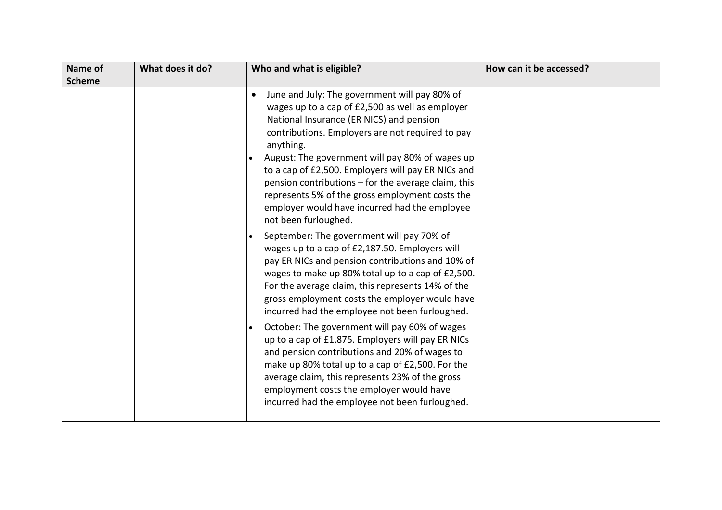| Name of<br><b>Scheme</b> | What does it do? | Who and what is eligible?                                                                                                                                                                                                                                                                                                                                                                                                                                                                                                                                                                                                                                                                                                                                                                                                                                                                                                                                                                                                                                                                                                                                                                                                                                                     | How can it be accessed? |
|--------------------------|------------------|-------------------------------------------------------------------------------------------------------------------------------------------------------------------------------------------------------------------------------------------------------------------------------------------------------------------------------------------------------------------------------------------------------------------------------------------------------------------------------------------------------------------------------------------------------------------------------------------------------------------------------------------------------------------------------------------------------------------------------------------------------------------------------------------------------------------------------------------------------------------------------------------------------------------------------------------------------------------------------------------------------------------------------------------------------------------------------------------------------------------------------------------------------------------------------------------------------------------------------------------------------------------------------|-------------------------|
|                          |                  | June and July: The government will pay 80% of<br>$\bullet$<br>wages up to a cap of £2,500 as well as employer<br>National Insurance (ER NICS) and pension<br>contributions. Employers are not required to pay<br>anything.<br>August: The government will pay 80% of wages up<br>to a cap of £2,500. Employers will pay ER NICs and<br>pension contributions - for the average claim, this<br>represents 5% of the gross employment costs the<br>employer would have incurred had the employee<br>not been furloughed.<br>September: The government will pay 70% of<br>$\bullet$<br>wages up to a cap of £2,187.50. Employers will<br>pay ER NICs and pension contributions and 10% of<br>wages to make up 80% total up to a cap of £2,500.<br>For the average claim, this represents 14% of the<br>gross employment costs the employer would have<br>incurred had the employee not been furloughed.<br>October: The government will pay 60% of wages<br>$\bullet$<br>up to a cap of £1,875. Employers will pay ER NICs<br>and pension contributions and 20% of wages to<br>make up 80% total up to a cap of £2,500. For the<br>average claim, this represents 23% of the gross<br>employment costs the employer would have<br>incurred had the employee not been furloughed. |                         |
|                          |                  |                                                                                                                                                                                                                                                                                                                                                                                                                                                                                                                                                                                                                                                                                                                                                                                                                                                                                                                                                                                                                                                                                                                                                                                                                                                                               |                         |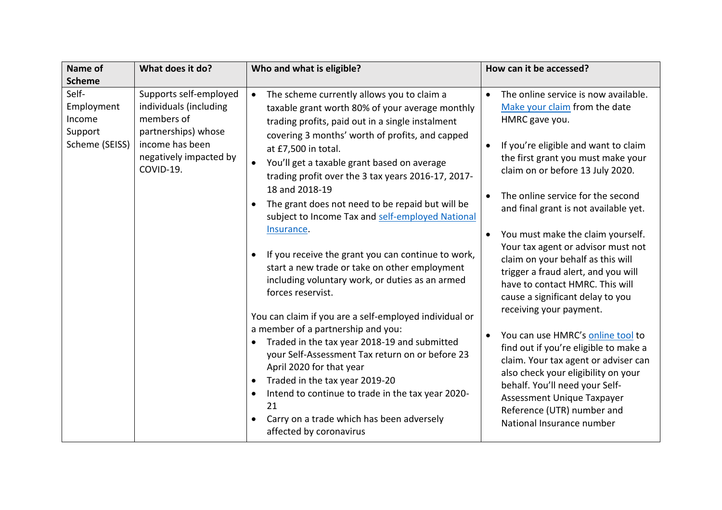| Name of                                                    | What does it do?                                                                                                                                | Who and what is eligible?                                                                                                                                                                                                                                                                                                                                                                                                                                                                                                                                                                                                                                                                                                                                                                                                                                                                                                                                                                                                                                                                                       | How can it be accessed?                                                                                                                                                                                                                                                                                                                                                                                                                                                                                                                                                                                                                                                                                                                                                                                                                                                                                   |
|------------------------------------------------------------|-------------------------------------------------------------------------------------------------------------------------------------------------|-----------------------------------------------------------------------------------------------------------------------------------------------------------------------------------------------------------------------------------------------------------------------------------------------------------------------------------------------------------------------------------------------------------------------------------------------------------------------------------------------------------------------------------------------------------------------------------------------------------------------------------------------------------------------------------------------------------------------------------------------------------------------------------------------------------------------------------------------------------------------------------------------------------------------------------------------------------------------------------------------------------------------------------------------------------------------------------------------------------------|-----------------------------------------------------------------------------------------------------------------------------------------------------------------------------------------------------------------------------------------------------------------------------------------------------------------------------------------------------------------------------------------------------------------------------------------------------------------------------------------------------------------------------------------------------------------------------------------------------------------------------------------------------------------------------------------------------------------------------------------------------------------------------------------------------------------------------------------------------------------------------------------------------------|
| <b>Scheme</b>                                              |                                                                                                                                                 |                                                                                                                                                                                                                                                                                                                                                                                                                                                                                                                                                                                                                                                                                                                                                                                                                                                                                                                                                                                                                                                                                                                 |                                                                                                                                                                                                                                                                                                                                                                                                                                                                                                                                                                                                                                                                                                                                                                                                                                                                                                           |
| Self-<br>Employment<br>Income<br>Support<br>Scheme (SEISS) | Supports self-employed<br>individuals (including<br>members of<br>partnerships) whose<br>income has been<br>negatively impacted by<br>COVID-19. | The scheme currently allows you to claim a<br>$\bullet$<br>taxable grant worth 80% of your average monthly<br>trading profits, paid out in a single instalment<br>covering 3 months' worth of profits, and capped<br>at £7,500 in total.<br>You'll get a taxable grant based on average<br>$\bullet$<br>trading profit over the 3 tax years 2016-17, 2017-<br>18 and 2018-19<br>The grant does not need to be repaid but will be<br>subject to Income Tax and self-employed National<br>Insurance.<br>If you receive the grant you can continue to work,<br>start a new trade or take on other employment<br>including voluntary work, or duties as an armed<br>forces reservist.<br>You can claim if you are a self-employed individual or<br>a member of a partnership and you:<br>Traded in the tax year 2018-19 and submitted<br>$\bullet$<br>your Self-Assessment Tax return on or before 23<br>April 2020 for that year<br>Traded in the tax year 2019-20<br>$\bullet$<br>Intend to continue to trade in the tax year 2020-<br>21<br>Carry on a trade which has been adversely<br>affected by coronavirus | The online service is now available.<br>$\bullet$<br>Make your claim from the date<br>HMRC gave you.<br>If you're eligible and want to claim<br>$\bullet$<br>the first grant you must make your<br>claim on or before 13 July 2020.<br>The online service for the second<br>$\bullet$<br>and final grant is not available yet.<br>You must make the claim yourself.<br>$\bullet$<br>Your tax agent or advisor must not<br>claim on your behalf as this will<br>trigger a fraud alert, and you will<br>have to contact HMRC. This will<br>cause a significant delay to you<br>receiving your payment.<br>You can use HMRC's online tool to<br>$\bullet$<br>find out if you're eligible to make a<br>claim. Your tax agent or adviser can<br>also check your eligibility on your<br>behalf. You'll need your Self-<br>Assessment Unique Taxpayer<br>Reference (UTR) number and<br>National Insurance number |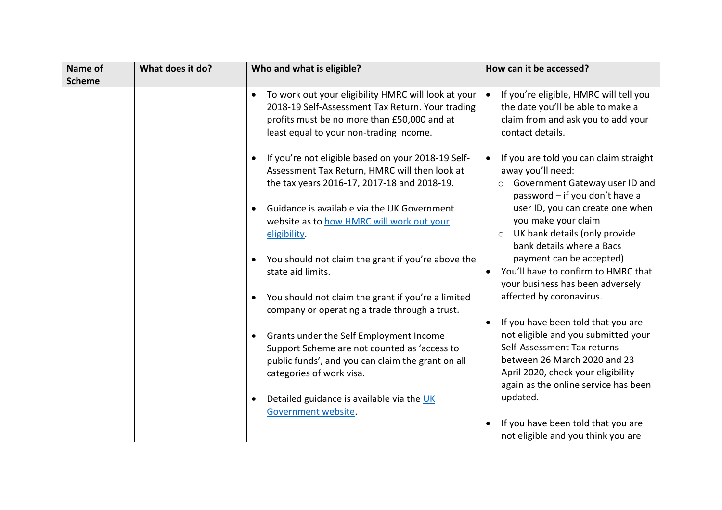| Name of       | What does it do? | Who and what is eligible?                                                                                                                                                                                                                                                                                                                                                                       | How can it be accessed?                                                                                                                                                                                                                                                                                                                                                                                                            |
|---------------|------------------|-------------------------------------------------------------------------------------------------------------------------------------------------------------------------------------------------------------------------------------------------------------------------------------------------------------------------------------------------------------------------------------------------|------------------------------------------------------------------------------------------------------------------------------------------------------------------------------------------------------------------------------------------------------------------------------------------------------------------------------------------------------------------------------------------------------------------------------------|
| <b>Scheme</b> |                  |                                                                                                                                                                                                                                                                                                                                                                                                 |                                                                                                                                                                                                                                                                                                                                                                                                                                    |
|               |                  | To work out your eligibility HMRC will look at your<br>$\bullet$<br>2018-19 Self-Assessment Tax Return. Your trading<br>profits must be no more than £50,000 and at<br>least equal to your non-trading income.                                                                                                                                                                                  | If you're eligible, HMRC will tell you<br>$\bullet$<br>the date you'll be able to make a<br>claim from and ask you to add your<br>contact details.                                                                                                                                                                                                                                                                                 |
|               |                  | If you're not eligible based on your 2018-19 Self-<br>Assessment Tax Return, HMRC will then look at<br>the tax years 2016-17, 2017-18 and 2018-19.<br>Guidance is available via the UK Government<br>website as to how HMRC will work out your<br>eligibility.<br>You should not claim the grant if you're above the<br>state aid limits.<br>You should not claim the grant if you're a limited | If you are told you can claim straight<br>$\bullet$<br>away you'll need:<br>Government Gateway user ID and<br>$\circ$<br>password - if you don't have a<br>user ID, you can create one when<br>you make your claim<br>O UK bank details (only provide<br>bank details where a Bacs<br>payment can be accepted)<br>You'll have to confirm to HMRC that<br>$\bullet$<br>your business has been adversely<br>affected by coronavirus. |
|               |                  | company or operating a trade through a trust.<br>Grants under the Self Employment Income<br>$\bullet$<br>Support Scheme are not counted as 'access to<br>public funds', and you can claim the grant on all<br>categories of work visa.<br>Detailed guidance is available via the UK<br>Government website.                                                                                      | If you have been told that you are<br>not eligible and you submitted your<br>Self-Assessment Tax returns<br>between 26 March 2020 and 23<br>April 2020, check your eligibility<br>again as the online service has been<br>updated.<br>If you have been told that you are<br>not eligible and you think you are                                                                                                                     |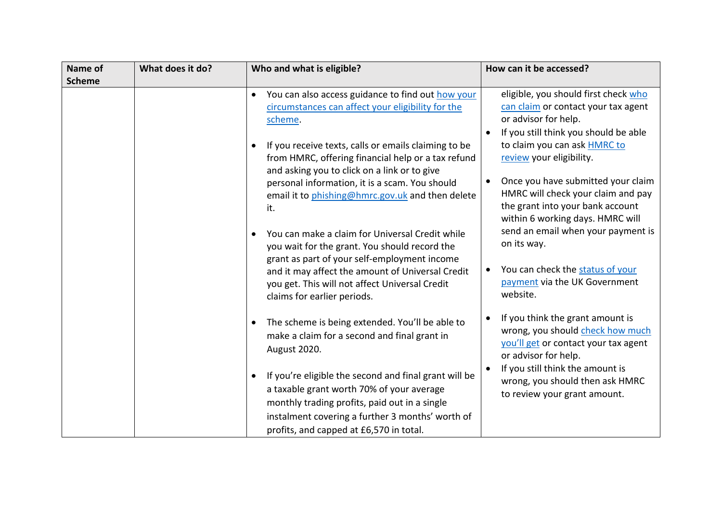| Name of       | What does it do? | Who and what is eligible?                                                                                                                                                                                                                                                                                                                                                                                                                                                                                                                                                                            | How can it be accessed?                                                                                                                                                                                                                                                                                                                                                                                                                               |
|---------------|------------------|------------------------------------------------------------------------------------------------------------------------------------------------------------------------------------------------------------------------------------------------------------------------------------------------------------------------------------------------------------------------------------------------------------------------------------------------------------------------------------------------------------------------------------------------------------------------------------------------------|-------------------------------------------------------------------------------------------------------------------------------------------------------------------------------------------------------------------------------------------------------------------------------------------------------------------------------------------------------------------------------------------------------------------------------------------------------|
| <b>Scheme</b> |                  |                                                                                                                                                                                                                                                                                                                                                                                                                                                                                                                                                                                                      |                                                                                                                                                                                                                                                                                                                                                                                                                                                       |
|               |                  | You can also access guidance to find out how your<br>circumstances can affect your eligibility for the<br>scheme.<br>If you receive texts, calls or emails claiming to be<br>from HMRC, offering financial help or a tax refund<br>and asking you to click on a link or to give<br>personal information, it is a scam. You should<br>email it to phishing@hmrc.gov.uk and then delete<br>it.<br>You can make a claim for Universal Credit while<br>you wait for the grant. You should record the<br>grant as part of your self-employment income<br>and it may affect the amount of Universal Credit | eligible, you should first check who<br>can claim or contact your tax agent<br>or advisor for help.<br>If you still think you should be able<br>to claim you can ask HMRC to<br>review your eligibility.<br>Once you have submitted your claim<br>HMRC will check your claim and pay<br>the grant into your bank account<br>within 6 working days. HMRC will<br>send an email when your payment is<br>on its way.<br>You can check the status of your |
|               |                  | you get. This will not affect Universal Credit<br>claims for earlier periods.<br>The scheme is being extended. You'll be able to<br>$\bullet$<br>make a claim for a second and final grant in<br>August 2020.<br>If you're eligible the second and final grant will be<br>a taxable grant worth 70% of your average<br>monthly trading profits, paid out in a single<br>instalment covering a further 3 months' worth of<br>profits, and capped at £6,570 in total.                                                                                                                                  | payment via the UK Government<br>website.<br>If you think the grant amount is<br>wrong, you should check how much<br>you'll get or contact your tax agent<br>or advisor for help.<br>If you still think the amount is<br>wrong, you should then ask HMRC<br>to review your grant amount.                                                                                                                                                              |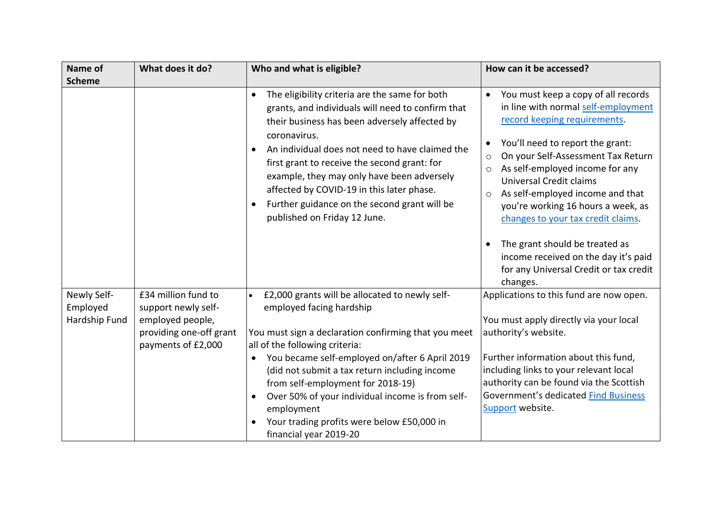| Name of<br><b>Scheme</b>                 | What does it do?                                                                                                | Who and what is eligible?                                                                                                                                                                                                                                                                                                                                                                                                                                           | How can it be accessed?                                                                                                                                                                                                                                                                                                                                                                                                                                                                                                                            |
|------------------------------------------|-----------------------------------------------------------------------------------------------------------------|---------------------------------------------------------------------------------------------------------------------------------------------------------------------------------------------------------------------------------------------------------------------------------------------------------------------------------------------------------------------------------------------------------------------------------------------------------------------|----------------------------------------------------------------------------------------------------------------------------------------------------------------------------------------------------------------------------------------------------------------------------------------------------------------------------------------------------------------------------------------------------------------------------------------------------------------------------------------------------------------------------------------------------|
|                                          |                                                                                                                 | The eligibility criteria are the same for both<br>grants, and individuals will need to confirm that<br>their business has been adversely affected by<br>coronavirus.<br>An individual does not need to have claimed the<br>$\bullet$<br>first grant to receive the second grant: for<br>example, they may only have been adversely<br>affected by COVID-19 in this later phase.<br>Further guidance on the second grant will be<br>published on Friday 12 June.     | You must keep a copy of all records<br>in line with normal self-employment<br>record keeping requirements.<br>You'll need to report the grant:<br>$\bullet$<br>On your Self-Assessment Tax Return<br>$\circ$<br>As self-employed income for any<br>Universal Credit claims<br>As self-employed income and that<br>$\circ$<br>you're working 16 hours a week, as<br>changes to your tax credit claims.<br>The grant should be treated as<br>$\bullet$<br>income received on the day it's paid<br>for any Universal Credit or tax credit<br>changes. |
| Newly Self-<br>Employed<br>Hardship Fund | £34 million fund to<br>support newly self-<br>employed people,<br>providing one-off grant<br>payments of £2,000 | £2,000 grants will be allocated to newly self-<br>employed facing hardship<br>You must sign a declaration confirming that you meet<br>all of the following criteria:<br>You became self-employed on/after 6 April 2019<br>$\bullet$<br>(did not submit a tax return including income<br>from self-employment for 2018-19)<br>Over 50% of your individual income is from self-<br>employment<br>Your trading profits were below £50,000 in<br>financial year 2019-20 | Applications to this fund are now open.<br>You must apply directly via your local<br>authority's website.<br>Further information about this fund,<br>including links to your relevant local<br>authority can be found via the Scottish<br>Government's dedicated Find Business<br>Support website.                                                                                                                                                                                                                                                 |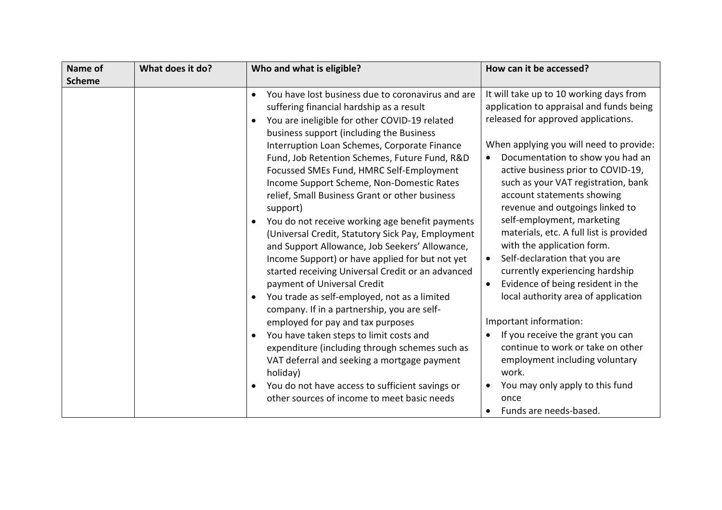| What does it do?<br>Who and what is eligible?<br>Name of                                                                                                                                                                                                                                                                                                                                                                                                                                                                                                                                                                                                                                                                                                                                                                                                                                                                                                                                                                                                                                                                                                                                                                            | How can it be accessed?                                                                                                                                                                                                                                                                                                                                                                                                                                                                                                                                                                                                                                                                                                                                                                                                           |
|-------------------------------------------------------------------------------------------------------------------------------------------------------------------------------------------------------------------------------------------------------------------------------------------------------------------------------------------------------------------------------------------------------------------------------------------------------------------------------------------------------------------------------------------------------------------------------------------------------------------------------------------------------------------------------------------------------------------------------------------------------------------------------------------------------------------------------------------------------------------------------------------------------------------------------------------------------------------------------------------------------------------------------------------------------------------------------------------------------------------------------------------------------------------------------------------------------------------------------------|-----------------------------------------------------------------------------------------------------------------------------------------------------------------------------------------------------------------------------------------------------------------------------------------------------------------------------------------------------------------------------------------------------------------------------------------------------------------------------------------------------------------------------------------------------------------------------------------------------------------------------------------------------------------------------------------------------------------------------------------------------------------------------------------------------------------------------------|
| <b>Scheme</b><br>You have lost business due to coronavirus and are<br>suffering financial hardship as a result<br>You are ineligible for other COVID-19 related<br>$\bullet$<br>business support (including the Business<br>Interruption Loan Schemes, Corporate Finance<br>Fund, Job Retention Schemes, Future Fund, R&D<br>Focussed SMEs Fund, HMRC Self-Employment<br>Income Support Scheme, Non-Domestic Rates<br>relief, Small Business Grant or other business<br>support)<br>You do not receive working age benefit payments<br>$\bullet$<br>(Universal Credit, Statutory Sick Pay, Employment<br>and Support Allowance, Job Seekers' Allowance,<br>Income Support) or have applied for but not yet<br>started receiving Universal Credit or an advanced<br>payment of Universal Credit<br>$\bullet$<br>You trade as self-employed, not as a limited<br>$\bullet$<br>company. If in a partnership, you are self-<br>employed for pay and tax purposes<br>You have taken steps to limit costs and<br>$\bullet$<br>expenditure (including through schemes such as<br>VAT deferral and seeking a mortgage payment<br>holiday)<br>You do not have access to sufficient savings or<br>other sources of income to meet basic needs | It will take up to 10 working days from<br>application to appraisal and funds being<br>released for approved applications.<br>When applying you will need to provide:<br>Documentation to show you had an<br>active business prior to COVID-19,<br>such as your VAT registration, bank<br>account statements showing<br>revenue and outgoings linked to<br>self-employment, marketing<br>materials, etc. A full list is provided<br>with the application form.<br>Self-declaration that you are<br>currently experiencing hardship<br>Evidence of being resident in the<br>local authority area of application<br>Important information:<br>If you receive the grant you can<br>continue to work or take on other<br>employment including voluntary<br>work.<br>You may only apply to this fund<br>once<br>Funds are needs-based. |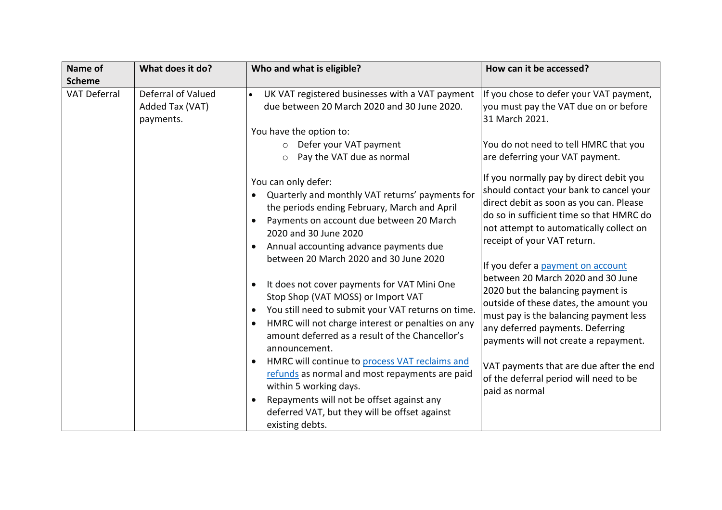| Name of<br><b>Scheme</b> | What does it do?                                   | Who and what is eligible?                                                                                                                                                                                                                                                                                                                                                                                                                                                                                                                                                                                                                                                                                                                                                                                                                 | How can it be accessed?                                                                                                                                                                                                                                                                                                                                                                                                                                                                                                                                                                                                                    |
|--------------------------|----------------------------------------------------|-------------------------------------------------------------------------------------------------------------------------------------------------------------------------------------------------------------------------------------------------------------------------------------------------------------------------------------------------------------------------------------------------------------------------------------------------------------------------------------------------------------------------------------------------------------------------------------------------------------------------------------------------------------------------------------------------------------------------------------------------------------------------------------------------------------------------------------------|--------------------------------------------------------------------------------------------------------------------------------------------------------------------------------------------------------------------------------------------------------------------------------------------------------------------------------------------------------------------------------------------------------------------------------------------------------------------------------------------------------------------------------------------------------------------------------------------------------------------------------------------|
| <b>VAT Deferral</b>      | Deferral of Valued<br>Added Tax (VAT)<br>payments. | UK VAT registered businesses with a VAT payment<br>due between 20 March 2020 and 30 June 2020.<br>You have the option to:<br>Defer your VAT payment<br>$\circ$<br>Pay the VAT due as normal<br>$\circ$                                                                                                                                                                                                                                                                                                                                                                                                                                                                                                                                                                                                                                    | If you chose to defer your VAT payment,<br>you must pay the VAT due on or before<br>31 March 2021.<br>You do not need to tell HMRC that you<br>are deferring your VAT payment.                                                                                                                                                                                                                                                                                                                                                                                                                                                             |
|                          |                                                    | You can only defer:<br>Quarterly and monthly VAT returns' payments for<br>the periods ending February, March and April<br>Payments on account due between 20 March<br>2020 and 30 June 2020<br>Annual accounting advance payments due<br>$\bullet$<br>between 20 March 2020 and 30 June 2020<br>It does not cover payments for VAT Mini One<br>Stop Shop (VAT MOSS) or Import VAT<br>You still need to submit your VAT returns on time.<br>$\bullet$<br>HMRC will not charge interest or penalties on any<br>amount deferred as a result of the Chancellor's<br>announcement.<br>HMRC will continue to process VAT reclaims and<br>refunds as normal and most repayments are paid<br>within 5 working days.<br>Repayments will not be offset against any<br>$\bullet$<br>deferred VAT, but they will be offset against<br>existing debts. | If you normally pay by direct debit you<br>should contact your bank to cancel your<br>direct debit as soon as you can. Please<br>do so in sufficient time so that HMRC do<br>not attempt to automatically collect on<br>receipt of your VAT return.<br>If you defer a payment on account<br>between 20 March 2020 and 30 June<br>2020 but the balancing payment is<br>outside of these dates, the amount you<br>must pay is the balancing payment less<br>any deferred payments. Deferring<br>payments will not create a repayment.<br>VAT payments that are due after the end<br>of the deferral period will need to be<br>paid as normal |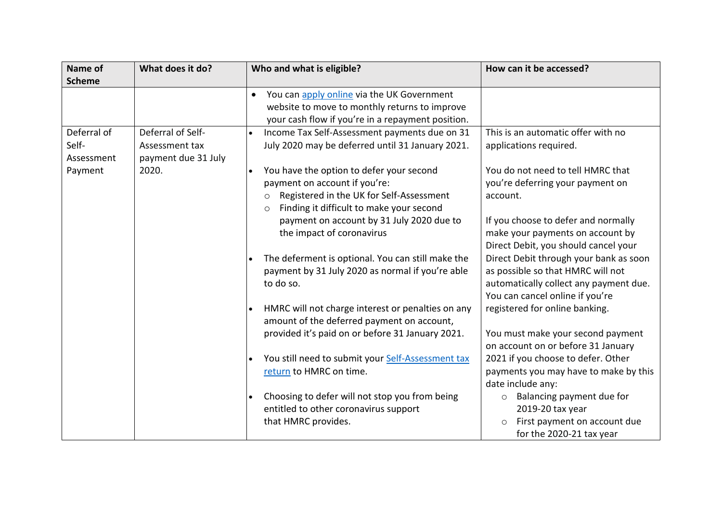| Name of       | What does it do?    | Who and what is eligible?                                      | How can it be accessed?                |
|---------------|---------------------|----------------------------------------------------------------|----------------------------------------|
| <b>Scheme</b> |                     |                                                                |                                        |
|               |                     | You can apply online via the UK Government<br>$\bullet$        |                                        |
|               |                     | website to move to monthly returns to improve                  |                                        |
|               |                     | your cash flow if you're in a repayment position.              |                                        |
| Deferral of   | Deferral of Self-   | Income Tax Self-Assessment payments due on 31                  | This is an automatic offer with no     |
| Self-         | Assessment tax      | July 2020 may be deferred until 31 January 2021.               | applications required.                 |
| Assessment    | payment due 31 July |                                                                |                                        |
| Payment       | 2020.               | You have the option to defer your second<br>$\bullet$          | You do not need to tell HMRC that      |
|               |                     | payment on account if you're:                                  | you're deferring your payment on       |
|               |                     | Registered in the UK for Self-Assessment<br>$\circ$            | account.                               |
|               |                     | Finding it difficult to make your second<br>$\circ$            |                                        |
|               |                     | payment on account by 31 July 2020 due to                      | If you choose to defer and normally    |
|               |                     | the impact of coronavirus                                      | make your payments on account by       |
|               |                     |                                                                | Direct Debit, you should cancel your   |
|               |                     | The deferment is optional. You can still make the              | Direct Debit through your bank as soon |
|               |                     | payment by 31 July 2020 as normal if you're able               | as possible so that HMRC will not      |
|               |                     | to do so.                                                      | automatically collect any payment due. |
|               |                     |                                                                | You can cancel online if you're        |
|               |                     | HMRC will not charge interest or penalties on any<br>$\bullet$ | registered for online banking.         |
|               |                     | amount of the deferred payment on account,                     |                                        |
|               |                     | provided it's paid on or before 31 January 2021.               | You must make your second payment      |
|               |                     |                                                                | on account on or before 31 January     |
|               |                     | You still need to submit your Self-Assessment tax              | 2021 if you choose to defer. Other     |
|               |                     | return to HMRC on time.                                        | payments you may have to make by this  |
|               |                     |                                                                | date include any:                      |
|               |                     | Choosing to defer will not stop you from being<br>$\bullet$    | Balancing payment due for<br>$\circ$   |
|               |                     | entitled to other coronavirus support                          | 2019-20 tax year                       |
|               |                     | that HMRC provides.                                            | First payment on account due           |
|               |                     |                                                                | for the 2020-21 tax year               |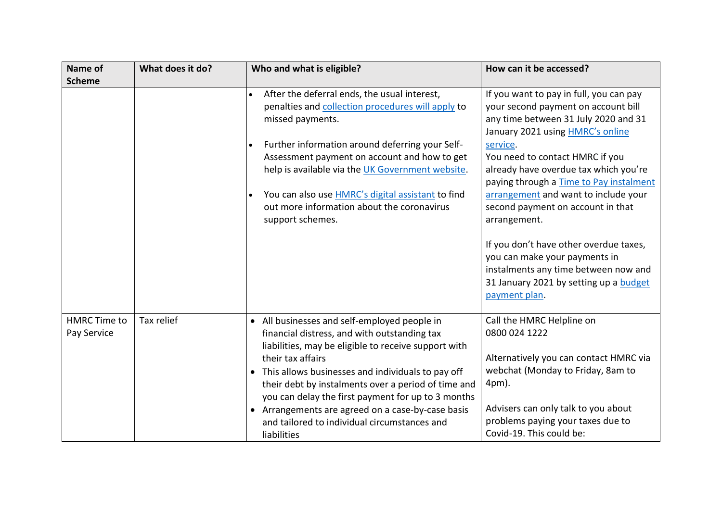| Name of                            | What does it do? | Who and what is eligible?                                                                                                                                                                                                                                                                                                                                                                                                                                         | How can it be accessed?                                                                                                                                                                                                                                                                                                                                                                                                                                                                                                                                                         |
|------------------------------------|------------------|-------------------------------------------------------------------------------------------------------------------------------------------------------------------------------------------------------------------------------------------------------------------------------------------------------------------------------------------------------------------------------------------------------------------------------------------------------------------|---------------------------------------------------------------------------------------------------------------------------------------------------------------------------------------------------------------------------------------------------------------------------------------------------------------------------------------------------------------------------------------------------------------------------------------------------------------------------------------------------------------------------------------------------------------------------------|
| <b>Scheme</b>                      |                  |                                                                                                                                                                                                                                                                                                                                                                                                                                                                   |                                                                                                                                                                                                                                                                                                                                                                                                                                                                                                                                                                                 |
|                                    |                  | After the deferral ends, the usual interest,<br>penalties and collection procedures will apply to<br>missed payments.<br>Further information around deferring your Self-<br>Assessment payment on account and how to get<br>help is available via the UK Government website.<br>You can also use <b>HMRC's</b> digital assistant to find<br>out more information about the coronavirus<br>support schemes.                                                        | If you want to pay in full, you can pay<br>your second payment on account bill<br>any time between 31 July 2020 and 31<br>January 2021 using <b>HMRC's online</b><br>service.<br>You need to contact HMRC if you<br>already have overdue tax which you're<br>paying through a Time to Pay instalment<br>arrangement and want to include your<br>second payment on account in that<br>arrangement.<br>If you don't have other overdue taxes,<br>you can make your payments in<br>instalments any time between now and<br>31 January 2021 by setting up a budget<br>payment plan. |
| <b>HMRC Time to</b><br>Pay Service | Tax relief       | • All businesses and self-employed people in<br>financial distress, and with outstanding tax<br>liabilities, may be eligible to receive support with<br>their tax affairs<br>• This allows businesses and individuals to pay off<br>their debt by instalments over a period of time and<br>you can delay the first payment for up to 3 months<br>• Arrangements are agreed on a case-by-case basis<br>and tailored to individual circumstances and<br>liabilities | Call the HMRC Helpline on<br>0800 024 1222<br>Alternatively you can contact HMRC via<br>webchat (Monday to Friday, 8am to<br>4pm).<br>Advisers can only talk to you about<br>problems paying your taxes due to<br>Covid-19. This could be:                                                                                                                                                                                                                                                                                                                                      |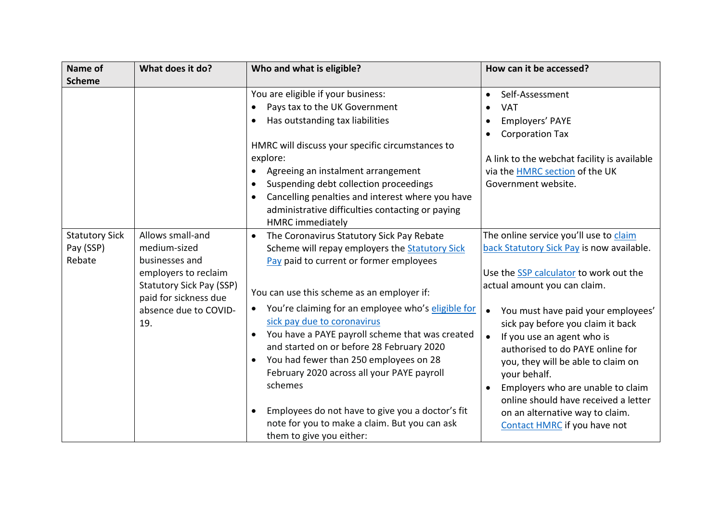| Name of               | What does it do?                                         | Who and what is eligible?                                       | How can it be accessed?                         |
|-----------------------|----------------------------------------------------------|-----------------------------------------------------------------|-------------------------------------------------|
| <b>Scheme</b>         |                                                          |                                                                 |                                                 |
|                       |                                                          | You are eligible if your business:                              | Self-Assessment<br>$\bullet$                    |
|                       |                                                          | Pays tax to the UK Government                                   | <b>VAT</b>                                      |
|                       |                                                          | Has outstanding tax liabilities                                 | Employers' PAYE                                 |
|                       |                                                          |                                                                 | <b>Corporation Tax</b><br>٠                     |
|                       |                                                          | HMRC will discuss your specific circumstances to                |                                                 |
|                       |                                                          | explore:                                                        | A link to the webchat facility is available     |
|                       |                                                          | Agreeing an instalment arrangement<br>$\bullet$                 | via the <b>HMRC</b> section of the UK           |
|                       |                                                          | Suspending debt collection proceedings<br>$\bullet$             | Government website.                             |
|                       |                                                          | Cancelling penalties and interest where you have<br>$\bullet$   |                                                 |
|                       |                                                          | administrative difficulties contacting or paying                |                                                 |
|                       |                                                          | <b>HMRC</b> immediately                                         |                                                 |
| <b>Statutory Sick</b> | Allows small-and                                         | The Coronavirus Statutory Sick Pay Rebate<br>$\bullet$          | The online service you'll use to claim          |
| Pay (SSP)             | medium-sized                                             | Scheme will repay employers the <b>Statutory Sick</b>           | back Statutory Sick Pay is now available.       |
| Rebate                | businesses and                                           | Pay paid to current or former employees                         |                                                 |
|                       | employers to reclaim                                     |                                                                 | Use the <b>SSP</b> calculator to work out the   |
|                       | <b>Statutory Sick Pay (SSP)</b><br>paid for sickness due | You can use this scheme as an employer if:                      | actual amount you can claim.                    |
|                       | absence due to COVID-                                    | You're claiming for an employee who's eligible for<br>$\bullet$ | You must have paid your employees'<br>$\bullet$ |
|                       | 19.                                                      | sick pay due to coronavirus                                     | sick pay before you claim it back               |
|                       |                                                          | You have a PAYE payroll scheme that was created                 | If you use an agent who is<br>$\bullet$         |
|                       |                                                          | and started on or before 28 February 2020                       | authorised to do PAYE online for                |
|                       |                                                          | You had fewer than 250 employees on 28                          | you, they will be able to claim on              |
|                       |                                                          | February 2020 across all your PAYE payroll                      | your behalf.                                    |
|                       |                                                          | schemes                                                         | Employers who are unable to claim<br>$\bullet$  |
|                       |                                                          |                                                                 | online should have received a letter            |
|                       |                                                          | Employees do not have to give you a doctor's fit                | on an alternative way to claim.                 |
|                       |                                                          | note for you to make a claim. But you can ask                   | Contact HMRC if you have not                    |
|                       |                                                          | them to give you either:                                        |                                                 |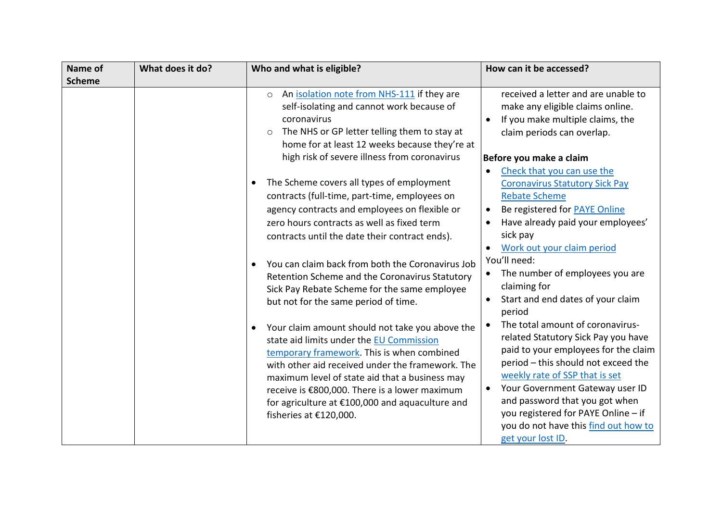| Name of       | What does it do? | Who and what is eligible?                                                                                                                                                                                                                                                                                                                                                                                                                                                                                                                                                                                                                                                                                                                                                                                                                                         | How can it be accessed?                                                                                                                                                                                                                                                                                                                                                                                                                                                                                                                                                                                                                                                                                                                                |
|---------------|------------------|-------------------------------------------------------------------------------------------------------------------------------------------------------------------------------------------------------------------------------------------------------------------------------------------------------------------------------------------------------------------------------------------------------------------------------------------------------------------------------------------------------------------------------------------------------------------------------------------------------------------------------------------------------------------------------------------------------------------------------------------------------------------------------------------------------------------------------------------------------------------|--------------------------------------------------------------------------------------------------------------------------------------------------------------------------------------------------------------------------------------------------------------------------------------------------------------------------------------------------------------------------------------------------------------------------------------------------------------------------------------------------------------------------------------------------------------------------------------------------------------------------------------------------------------------------------------------------------------------------------------------------------|
| <b>Scheme</b> |                  |                                                                                                                                                                                                                                                                                                                                                                                                                                                                                                                                                                                                                                                                                                                                                                                                                                                                   |                                                                                                                                                                                                                                                                                                                                                                                                                                                                                                                                                                                                                                                                                                                                                        |
|               |                  | An isolation note from NHS-111 if they are<br>$\circ$<br>self-isolating and cannot work because of<br>coronavirus<br>The NHS or GP letter telling them to stay at<br>$\circ$<br>home for at least 12 weeks because they're at                                                                                                                                                                                                                                                                                                                                                                                                                                                                                                                                                                                                                                     | received a letter and are unable to<br>make any eligible claims online.<br>If you make multiple claims, the<br>$\bullet$<br>claim periods can overlap.                                                                                                                                                                                                                                                                                                                                                                                                                                                                                                                                                                                                 |
|               |                  | high risk of severe illness from coronavirus                                                                                                                                                                                                                                                                                                                                                                                                                                                                                                                                                                                                                                                                                                                                                                                                                      | Before you make a claim                                                                                                                                                                                                                                                                                                                                                                                                                                                                                                                                                                                                                                                                                                                                |
|               |                  | The Scheme covers all types of employment<br>$\bullet$<br>contracts (full-time, part-time, employees on<br>agency contracts and employees on flexible or<br>zero hours contracts as well as fixed term<br>contracts until the date their contract ends).<br>You can claim back from both the Coronavirus Job<br>$\bullet$<br>Retention Scheme and the Coronavirus Statutory<br>Sick Pay Rebate Scheme for the same employee<br>but not for the same period of time.<br>Your claim amount should not take you above the<br>$\bullet$<br>state aid limits under the EU Commission<br>temporary framework. This is when combined<br>with other aid received under the framework. The<br>maximum level of state aid that a business may<br>receive is €800,000. There is a lower maximum<br>for agriculture at €100,000 and aquaculture and<br>fisheries at €120,000. | Check that you can use the<br>$\bullet$<br><b>Coronavirus Statutory Sick Pay</b><br><b>Rebate Scheme</b><br>Be registered for PAYE Online<br>$\bullet$<br>Have already paid your employees'<br>$\bullet$<br>sick pay<br>Work out your claim period<br>You'll need:<br>The number of employees you are<br>claiming for<br>Start and end dates of your claim<br>$\bullet$<br>period<br>The total amount of coronavirus-<br>related Statutory Sick Pay you have<br>paid to your employees for the claim<br>period - this should not exceed the<br>weekly rate of SSP that is set<br>Your Government Gateway user ID<br>and password that you got when<br>you registered for PAYE Online - if<br>you do not have this find out how to<br>get your lost ID. |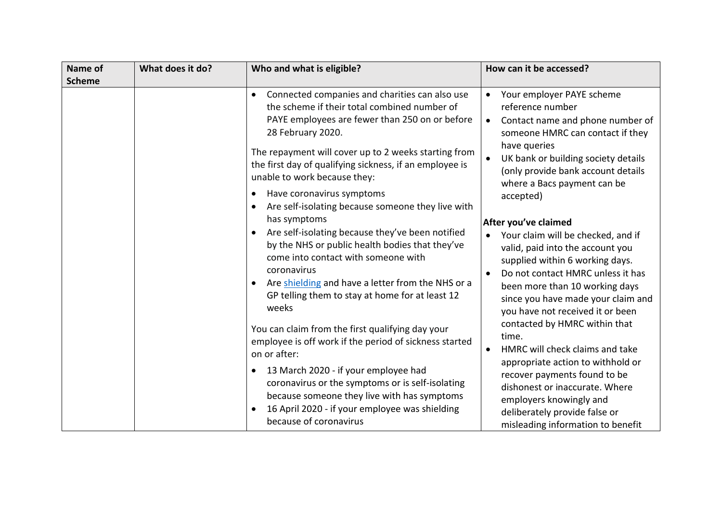| Name of       | What does it do? | Who and what is eligible?                                                                                                                                                                                                                                                                                                                                                                                                                                                                                                                                                                                                                                                                                         | How can it be accessed?                                                                                                                                                                                                                                                                                                                                                                                                                                                                                           |
|---------------|------------------|-------------------------------------------------------------------------------------------------------------------------------------------------------------------------------------------------------------------------------------------------------------------------------------------------------------------------------------------------------------------------------------------------------------------------------------------------------------------------------------------------------------------------------------------------------------------------------------------------------------------------------------------------------------------------------------------------------------------|-------------------------------------------------------------------------------------------------------------------------------------------------------------------------------------------------------------------------------------------------------------------------------------------------------------------------------------------------------------------------------------------------------------------------------------------------------------------------------------------------------------------|
| <b>Scheme</b> |                  |                                                                                                                                                                                                                                                                                                                                                                                                                                                                                                                                                                                                                                                                                                                   |                                                                                                                                                                                                                                                                                                                                                                                                                                                                                                                   |
|               |                  | Connected companies and charities can also use<br>$\bullet$<br>the scheme if their total combined number of<br>PAYE employees are fewer than 250 on or before<br>28 February 2020.<br>The repayment will cover up to 2 weeks starting from<br>the first day of qualifying sickness, if an employee is<br>unable to work because they:<br>Have coronavirus symptoms<br>٠<br>Are self-isolating because someone they live with<br>has symptoms<br>Are self-isolating because they've been notified<br>by the NHS or public health bodies that they've<br>come into contact with someone with<br>coronavirus<br>Are shielding and have a letter from the NHS or a<br>GP telling them to stay at home for at least 12 | Your employer PAYE scheme<br>reference number<br>Contact name and phone number of<br>$\bullet$<br>someone HMRC can contact if they<br>have queries<br>UK bank or building society details<br>$\bullet$<br>(only provide bank account details<br>where a Bacs payment can be<br>accepted)<br>After you've claimed<br>Your claim will be checked, and if<br>$\bullet$<br>valid, paid into the account you<br>supplied within 6 working days.<br>Do not contact HMRC unless it has<br>been more than 10 working days |
|               |                  | weeks<br>You can claim from the first qualifying day your<br>employee is off work if the period of sickness started<br>on or after:<br>13 March 2020 - if your employee had<br>coronavirus or the symptoms or is self-isolating<br>because someone they live with has symptoms<br>16 April 2020 - if your employee was shielding<br>because of coronavirus                                                                                                                                                                                                                                                                                                                                                        | since you have made your claim and<br>you have not received it or been<br>contacted by HMRC within that<br>time.<br>HMRC will check claims and take<br>$\bullet$<br>appropriate action to withhold or<br>recover payments found to be<br>dishonest or inaccurate. Where<br>employers knowingly and<br>deliberately provide false or<br>misleading information to benefit                                                                                                                                          |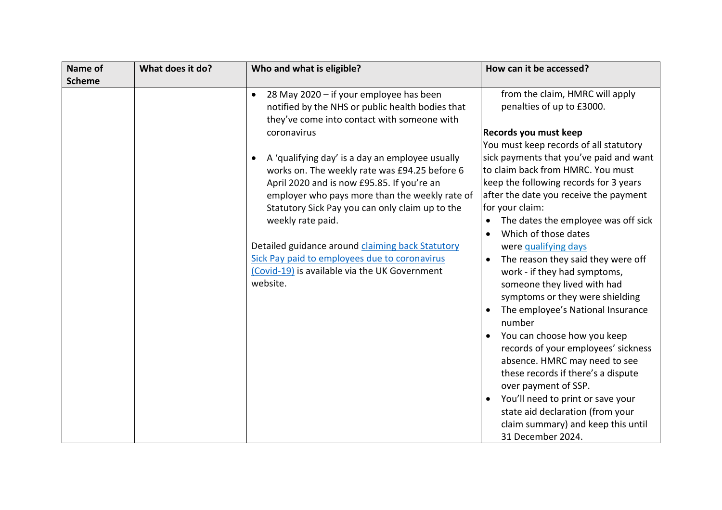| Name of<br><b>Scheme</b> | What does it do? | Who and what is eligible?                                                                                                                                                                                                                                                                                                                                                                                                                                 | How can it be accessed?                                                                                                                                                                                                                                                                                                                                                                                                                                                                                                              |
|--------------------------|------------------|-----------------------------------------------------------------------------------------------------------------------------------------------------------------------------------------------------------------------------------------------------------------------------------------------------------------------------------------------------------------------------------------------------------------------------------------------------------|--------------------------------------------------------------------------------------------------------------------------------------------------------------------------------------------------------------------------------------------------------------------------------------------------------------------------------------------------------------------------------------------------------------------------------------------------------------------------------------------------------------------------------------|
|                          |                  | 28 May 2020 - if your employee has been<br>$\bullet$<br>notified by the NHS or public health bodies that<br>they've come into contact with someone with                                                                                                                                                                                                                                                                                                   | from the claim, HMRC will apply<br>penalties of up to £3000.                                                                                                                                                                                                                                                                                                                                                                                                                                                                         |
|                          |                  | coronavirus<br>A 'qualifying day' is a day an employee usually<br>works on. The weekly rate was £94.25 before 6<br>April 2020 and is now £95.85. If you're an<br>employer who pays more than the weekly rate of<br>Statutory Sick Pay you can only claim up to the<br>weekly rate paid.<br>Detailed guidance around claiming back Statutory<br>Sick Pay paid to employees due to coronavirus<br>(Covid-19) is available via the UK Government<br>website. | Records you must keep<br>You must keep records of all statutory<br>sick payments that you've paid and want<br>to claim back from HMRC. You must<br>keep the following records for 3 years<br>after the date you receive the payment<br>for your claim:<br>The dates the employee was off sick<br>Which of those dates<br>were qualifying days<br>The reason they said they were off<br>work - if they had symptoms,<br>someone they lived with had<br>symptoms or they were shielding<br>The employee's National Insurance<br>number |
|                          |                  |                                                                                                                                                                                                                                                                                                                                                                                                                                                           | You can choose how you keep<br>records of your employees' sickness<br>absence. HMRC may need to see<br>these records if there's a dispute<br>over payment of SSP.<br>You'll need to print or save your<br>state aid declaration (from your<br>claim summary) and keep this until<br>31 December 2024.                                                                                                                                                                                                                                |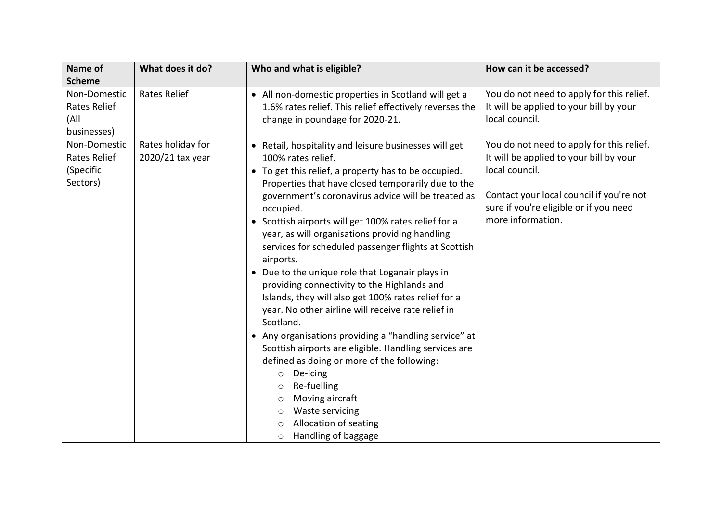| Name of                     | What does it do?    | Who and what is eligible?                                                   | How can it be accessed?                   |
|-----------------------------|---------------------|-----------------------------------------------------------------------------|-------------------------------------------|
| <b>Scheme</b>               |                     |                                                                             |                                           |
| Non-Domestic                | <b>Rates Relief</b> | • All non-domestic properties in Scotland will get a                        | You do not need to apply for this relief. |
| <b>Rates Relief</b>         |                     | 1.6% rates relief. This relief effectively reverses the                     | It will be applied to your bill by your   |
| (All                        |                     | change in poundage for 2020-21.                                             | local council.                            |
| businesses)<br>Non-Domestic | Rates holiday for   |                                                                             | You do not need to apply for this relief. |
| Rates Relief                | 2020/21 tax year    | • Retail, hospitality and leisure businesses will get<br>100% rates relief. | It will be applied to your bill by your   |
| (Specific                   |                     | • To get this relief, a property has to be occupied.                        | local council.                            |
| Sectors)                    |                     | Properties that have closed temporarily due to the                          |                                           |
|                             |                     | government's coronavirus advice will be treated as                          | Contact your local council if you're not  |
|                             |                     | occupied.                                                                   | sure if you're eligible or if you need    |
|                             |                     | • Scottish airports will get 100% rates relief for a                        | more information.                         |
|                             |                     | year, as will organisations providing handling                              |                                           |
|                             |                     | services for scheduled passenger flights at Scottish                        |                                           |
|                             |                     | airports.                                                                   |                                           |
|                             |                     | • Due to the unique role that Loganair plays in                             |                                           |
|                             |                     | providing connectivity to the Highlands and                                 |                                           |
|                             |                     | Islands, they will also get 100% rates relief for a                         |                                           |
|                             |                     | year. No other airline will receive rate relief in                          |                                           |
|                             |                     | Scotland.                                                                   |                                           |
|                             |                     | • Any organisations providing a "handling service" at                       |                                           |
|                             |                     | Scottish airports are eligible. Handling services are                       |                                           |
|                             |                     | defined as doing or more of the following:                                  |                                           |
|                             |                     | De-icing<br>$\circ$                                                         |                                           |
|                             |                     | Re-fuelling<br>$\circ$                                                      |                                           |
|                             |                     | Moving aircraft<br>$\circ$                                                  |                                           |
|                             |                     | Waste servicing<br>$\circ$                                                  |                                           |
|                             |                     | Allocation of seating                                                       |                                           |
|                             |                     | Handling of baggage<br>$\circ$                                              |                                           |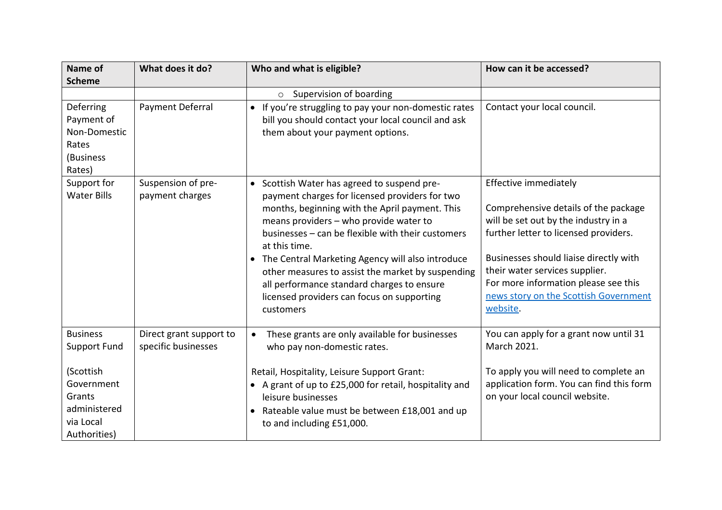| Name of<br><b>Scheme</b>                                                       | What does it do?                               | Who and what is eligible?                                                                                                                                                                                                                                                                                                                                                                                                                                                           | How can it be accessed?                                                                                                                                                                                                                                                                                                 |
|--------------------------------------------------------------------------------|------------------------------------------------|-------------------------------------------------------------------------------------------------------------------------------------------------------------------------------------------------------------------------------------------------------------------------------------------------------------------------------------------------------------------------------------------------------------------------------------------------------------------------------------|-------------------------------------------------------------------------------------------------------------------------------------------------------------------------------------------------------------------------------------------------------------------------------------------------------------------------|
|                                                                                |                                                | Supervision of boarding<br>$\circ$                                                                                                                                                                                                                                                                                                                                                                                                                                                  |                                                                                                                                                                                                                                                                                                                         |
| Deferring<br>Payment of<br>Non-Domestic<br>Rates<br>(Business<br>Rates)        | Payment Deferral                               | • If you're struggling to pay your non-domestic rates<br>bill you should contact your local council and ask<br>them about your payment options.                                                                                                                                                                                                                                                                                                                                     | Contact your local council.                                                                                                                                                                                                                                                                                             |
| Support for<br><b>Water Bills</b>                                              | Suspension of pre-<br>payment charges          | • Scottish Water has agreed to suspend pre-<br>payment charges for licensed providers for two<br>months, beginning with the April payment. This<br>means providers - who provide water to<br>businesses - can be flexible with their customers<br>at this time.<br>• The Central Marketing Agency will also introduce<br>other measures to assist the market by suspending<br>all performance standard charges to ensure<br>licensed providers can focus on supporting<br>customers | Effective immediately<br>Comprehensive details of the package<br>will be set out by the industry in a<br>further letter to licensed providers.<br>Businesses should liaise directly with<br>their water services supplier.<br>For more information please see this<br>news story on the Scottish Government<br>website. |
| <b>Business</b><br><b>Support Fund</b>                                         | Direct grant support to<br>specific businesses | These grants are only available for businesses<br>$\bullet$<br>who pay non-domestic rates.                                                                                                                                                                                                                                                                                                                                                                                          | You can apply for a grant now until 31<br>March 2021.                                                                                                                                                                                                                                                                   |
| (Scottish<br>Government<br>Grants<br>administered<br>via Local<br>Authorities) |                                                | Retail, Hospitality, Leisure Support Grant:<br>• A grant of up to £25,000 for retail, hospitality and<br>leisure businesses<br>Rateable value must be between £18,001 and up<br>to and including £51,000.                                                                                                                                                                                                                                                                           | To apply you will need to complete an<br>application form. You can find this form<br>on your local council website.                                                                                                                                                                                                     |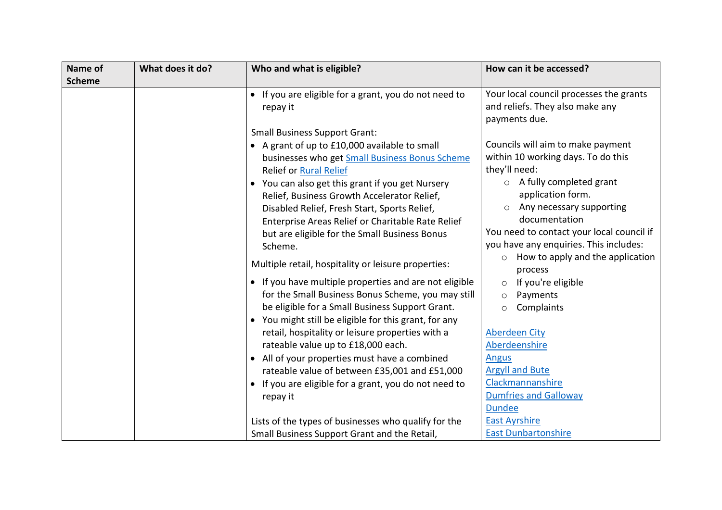| Name of       | What does it do? | Who and what is eligible?                                                                                                                                                                                                                                                                                                                                                                            | How can it be accessed?                                                                                                                                                                                                                                                                 |
|---------------|------------------|------------------------------------------------------------------------------------------------------------------------------------------------------------------------------------------------------------------------------------------------------------------------------------------------------------------------------------------------------------------------------------------------------|-----------------------------------------------------------------------------------------------------------------------------------------------------------------------------------------------------------------------------------------------------------------------------------------|
| <b>Scheme</b> |                  |                                                                                                                                                                                                                                                                                                                                                                                                      |                                                                                                                                                                                                                                                                                         |
|               |                  | • If you are eligible for a grant, you do not need to<br>repay it                                                                                                                                                                                                                                                                                                                                    | Your local council processes the grants<br>and reliefs. They also make any<br>payments due.                                                                                                                                                                                             |
|               |                  | <b>Small Business Support Grant:</b>                                                                                                                                                                                                                                                                                                                                                                 |                                                                                                                                                                                                                                                                                         |
|               |                  | • A grant of up to £10,000 available to small<br>businesses who get Small Business Bonus Scheme<br><b>Relief or Rural Relief</b><br>• You can also get this grant if you get Nursery<br>Relief, Business Growth Accelerator Relief,<br>Disabled Relief, Fresh Start, Sports Relief,<br>Enterprise Areas Relief or Charitable Rate Relief<br>but are eligible for the Small Business Bonus<br>Scheme. | Councils will aim to make payment<br>within 10 working days. To do this<br>they'll need:<br>A fully completed grant<br>$\circ$<br>application form.<br>Any necessary supporting<br>documentation<br>You need to contact your local council if<br>you have any enquiries. This includes: |
|               |                  | Multiple retail, hospitality or leisure properties:                                                                                                                                                                                                                                                                                                                                                  | How to apply and the application<br>$\circ$<br>process                                                                                                                                                                                                                                  |
|               |                  | • If you have multiple properties and are not eligible<br>for the Small Business Bonus Scheme, you may still<br>be eligible for a Small Business Support Grant.<br>• You might still be eligible for this grant, for any                                                                                                                                                                             | If you're eligible<br>Payments<br>$\circ$<br>Complaints<br>$\circ$                                                                                                                                                                                                                      |
|               |                  | retail, hospitality or leisure properties with a<br>rateable value up to £18,000 each.                                                                                                                                                                                                                                                                                                               | <b>Aberdeen City</b><br>Aberdeenshire                                                                                                                                                                                                                                                   |
|               |                  | • All of your properties must have a combined<br>rateable value of between £35,001 and £51,000                                                                                                                                                                                                                                                                                                       | <b>Angus</b><br><b>Argyll and Bute</b>                                                                                                                                                                                                                                                  |
|               |                  | • If you are eligible for a grant, you do not need to<br>repay it                                                                                                                                                                                                                                                                                                                                    | Clackmannanshire<br><b>Dumfries and Galloway</b><br><b>Dundee</b>                                                                                                                                                                                                                       |
|               |                  | Lists of the types of businesses who qualify for the                                                                                                                                                                                                                                                                                                                                                 | <b>East Ayrshire</b>                                                                                                                                                                                                                                                                    |
|               |                  | Small Business Support Grant and the Retail,                                                                                                                                                                                                                                                                                                                                                         | <b>East Dunbartonshire</b>                                                                                                                                                                                                                                                              |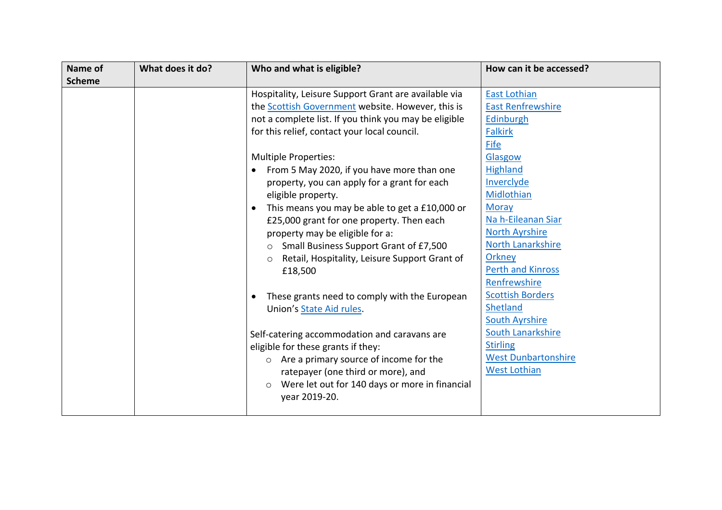| Name of       | What does it do? | Who and what is eligible?                                                                                                                                                                                                                                                                                                                                                                                                                                                                                                                                                                                                                                                                                                                                                                                                                                                                                                                                                | How can it be accessed?                                                                                                                                                                                                                                                                                                                                                                                                                                        |
|---------------|------------------|--------------------------------------------------------------------------------------------------------------------------------------------------------------------------------------------------------------------------------------------------------------------------------------------------------------------------------------------------------------------------------------------------------------------------------------------------------------------------------------------------------------------------------------------------------------------------------------------------------------------------------------------------------------------------------------------------------------------------------------------------------------------------------------------------------------------------------------------------------------------------------------------------------------------------------------------------------------------------|----------------------------------------------------------------------------------------------------------------------------------------------------------------------------------------------------------------------------------------------------------------------------------------------------------------------------------------------------------------------------------------------------------------------------------------------------------------|
| <b>Scheme</b> |                  | Hospitality, Leisure Support Grant are available via<br>the <b>Scottish Government</b> website. However, this is<br>not a complete list. If you think you may be eligible<br>for this relief, contact your local council.<br><b>Multiple Properties:</b><br>From 5 May 2020, if you have more than one<br>property, you can apply for a grant for each<br>eligible property.<br>This means you may be able to get a £10,000 or<br>£25,000 grant for one property. Then each<br>property may be eligible for a:<br>Small Business Support Grant of £7,500<br>Retail, Hospitality, Leisure Support Grant of<br>$\circ$<br>£18,500<br>These grants need to comply with the European<br>Union's State Aid rules.<br>Self-catering accommodation and caravans are<br>eligible for these grants if they:<br>$\circ$ Are a primary source of income for the<br>ratepayer (one third or more), and<br>Were let out for 140 days or more in financial<br>$\circ$<br>year 2019-20. | <b>East Lothian</b><br><b>East Renfrewshire</b><br>Edinburgh<br><b>Falkirk</b><br>Fife<br>Glasgow<br><b>Highland</b><br>Inverclyde<br>Midlothian<br><b>Moray</b><br>Na h-Eileanan Siar<br><b>North Ayrshire</b><br>North Lanarkshire<br><b>Orkney</b><br><b>Perth and Kinross</b><br>Renfrewshire<br><b>Scottish Borders</b><br>Shetland<br><b>South Ayrshire</b><br>South Lanarkshire<br><b>Stirling</b><br><b>West Dunbartonshire</b><br><b>West Lothian</b> |
|               |                  |                                                                                                                                                                                                                                                                                                                                                                                                                                                                                                                                                                                                                                                                                                                                                                                                                                                                                                                                                                          |                                                                                                                                                                                                                                                                                                                                                                                                                                                                |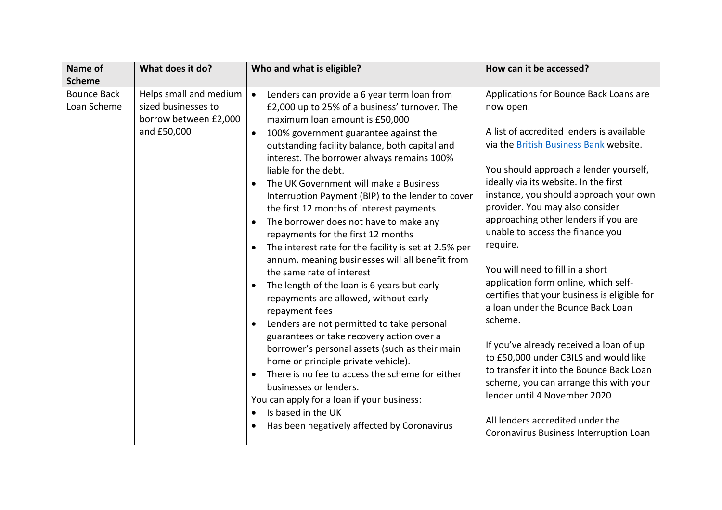| Name of                           | What does it do?                                                                      | Who and what is eligible?                                                                                                                                                                                                                                                                                                                                                                                                                                                                                                                                                                                                                                                                                                                                                                          | How can it be accessed?                                                                                                                                                                                                                                                                                                                                                                                                                                                                                                        |
|-----------------------------------|---------------------------------------------------------------------------------------|----------------------------------------------------------------------------------------------------------------------------------------------------------------------------------------------------------------------------------------------------------------------------------------------------------------------------------------------------------------------------------------------------------------------------------------------------------------------------------------------------------------------------------------------------------------------------------------------------------------------------------------------------------------------------------------------------------------------------------------------------------------------------------------------------|--------------------------------------------------------------------------------------------------------------------------------------------------------------------------------------------------------------------------------------------------------------------------------------------------------------------------------------------------------------------------------------------------------------------------------------------------------------------------------------------------------------------------------|
| <b>Scheme</b>                     |                                                                                       |                                                                                                                                                                                                                                                                                                                                                                                                                                                                                                                                                                                                                                                                                                                                                                                                    |                                                                                                                                                                                                                                                                                                                                                                                                                                                                                                                                |
| <b>Bounce Back</b><br>Loan Scheme | Helps small and medium<br>sized businesses to<br>borrow between £2,000<br>and £50,000 | Lenders can provide a 6 year term loan from<br>$\bullet$<br>£2,000 up to 25% of a business' turnover. The<br>maximum loan amount is £50,000<br>100% government guarantee against the<br>$\bullet$<br>outstanding facility balance, both capital and<br>interest. The borrower always remains 100%<br>liable for the debt.<br>The UK Government will make a Business<br>Interruption Payment (BIP) to the lender to cover<br>the first 12 months of interest payments<br>The borrower does not have to make any<br>repayments for the first 12 months<br>The interest rate for the facility is set at 2.5% per<br>annum, meaning businesses will all benefit from<br>the same rate of interest<br>The length of the loan is 6 years but early<br>$\bullet$<br>repayments are allowed, without early | Applications for Bounce Back Loans are<br>now open.<br>A list of accredited lenders is available<br>via the British Business Bank website.<br>You should approach a lender yourself,<br>ideally via its website. In the first<br>instance, you should approach your own<br>provider. You may also consider<br>approaching other lenders if you are<br>unable to access the finance you<br>require.<br>You will need to fill in a short<br>application form online, which self-<br>certifies that your business is eligible for |
|                                   |                                                                                       | repayment fees<br>Lenders are not permitted to take personal<br>guarantees or take recovery action over a<br>borrower's personal assets (such as their main<br>home or principle private vehicle).<br>There is no fee to access the scheme for either<br>businesses or lenders.<br>You can apply for a loan if your business:<br>Is based in the UK<br>$\bullet$<br>Has been negatively affected by Coronavirus                                                                                                                                                                                                                                                                                                                                                                                    | a loan under the Bounce Back Loan<br>scheme.<br>If you've already received a loan of up<br>to £50,000 under CBILS and would like<br>to transfer it into the Bounce Back Loan<br>scheme, you can arrange this with your<br>lender until 4 November 2020<br>All lenders accredited under the<br>Coronavirus Business Interruption Loan                                                                                                                                                                                           |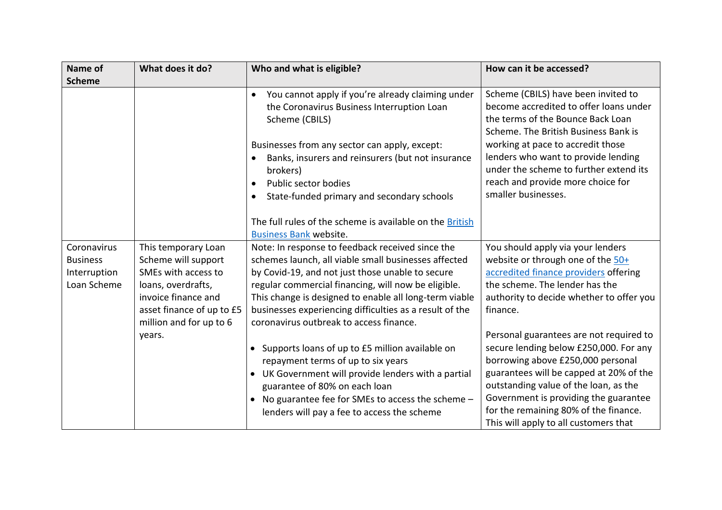| Name of                                                       | What does it do?                                                                                                                                                       | Who and what is eligible?                                                                                                                                                                                                                                                                                                                                                           | How can it be accessed?                                                                                                                                                                                                                                                                                                               |
|---------------------------------------------------------------|------------------------------------------------------------------------------------------------------------------------------------------------------------------------|-------------------------------------------------------------------------------------------------------------------------------------------------------------------------------------------------------------------------------------------------------------------------------------------------------------------------------------------------------------------------------------|---------------------------------------------------------------------------------------------------------------------------------------------------------------------------------------------------------------------------------------------------------------------------------------------------------------------------------------|
| <b>Scheme</b>                                                 |                                                                                                                                                                        |                                                                                                                                                                                                                                                                                                                                                                                     |                                                                                                                                                                                                                                                                                                                                       |
|                                                               |                                                                                                                                                                        | You cannot apply if you're already claiming under<br>$\bullet$<br>the Coronavirus Business Interruption Loan<br>Scheme (CBILS)<br>Businesses from any sector can apply, except:                                                                                                                                                                                                     | Scheme (CBILS) have been invited to<br>become accredited to offer loans under<br>the terms of the Bounce Back Loan<br>Scheme. The British Business Bank is<br>working at pace to accredit those                                                                                                                                       |
|                                                               |                                                                                                                                                                        | Banks, insurers and reinsurers (but not insurance<br>brokers)<br>Public sector bodies<br>State-funded primary and secondary schools<br>$\bullet$<br>The full rules of the scheme is available on the British                                                                                                                                                                        | lenders who want to provide lending<br>under the scheme to further extend its<br>reach and provide more choice for<br>smaller businesses.                                                                                                                                                                                             |
|                                                               |                                                                                                                                                                        | <b>Business Bank website.</b>                                                                                                                                                                                                                                                                                                                                                       |                                                                                                                                                                                                                                                                                                                                       |
| Coronavirus<br><b>Business</b><br>Interruption<br>Loan Scheme | This temporary Loan<br>Scheme will support<br>SMEs with access to<br>loans, overdrafts,<br>invoice finance and<br>asset finance of up to £5<br>million and for up to 6 | Note: In response to feedback received since the<br>schemes launch, all viable small businesses affected<br>by Covid-19, and not just those unable to secure<br>regular commercial financing, will now be eligible.<br>This change is designed to enable all long-term viable<br>businesses experiencing difficulties as a result of the<br>coronavirus outbreak to access finance. | You should apply via your lenders<br>website or through one of the 50+<br>accredited finance providers offering<br>the scheme. The lender has the<br>authority to decide whether to offer you<br>finance.                                                                                                                             |
|                                                               | years.                                                                                                                                                                 | • Supports loans of up to £5 million available on<br>repayment terms of up to six years<br>• UK Government will provide lenders with a partial<br>guarantee of 80% on each loan<br>• No guarantee fee for SMEs to access the scheme -<br>lenders will pay a fee to access the scheme                                                                                                | Personal guarantees are not required to<br>secure lending below £250,000. For any<br>borrowing above £250,000 personal<br>guarantees will be capped at 20% of the<br>outstanding value of the loan, as the<br>Government is providing the guarantee<br>for the remaining 80% of the finance.<br>This will apply to all customers that |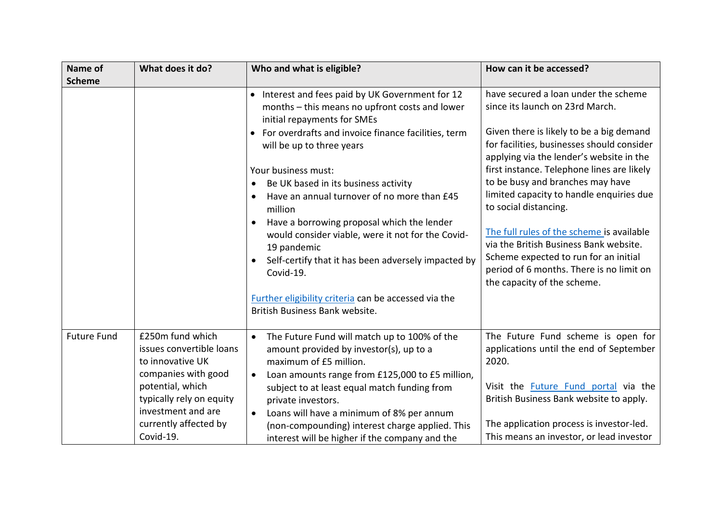| Name of            | What does it do?                                                    | Who and what is eligible?                                                                                                                                                                                    | How can it be accessed?                                                                                                                                                                                 |
|--------------------|---------------------------------------------------------------------|--------------------------------------------------------------------------------------------------------------------------------------------------------------------------------------------------------------|---------------------------------------------------------------------------------------------------------------------------------------------------------------------------------------------------------|
| <b>Scheme</b>      |                                                                     |                                                                                                                                                                                                              |                                                                                                                                                                                                         |
|                    |                                                                     | • Interest and fees paid by UK Government for 12<br>months - this means no upfront costs and lower<br>initial repayments for SMEs                                                                            | have secured a loan under the scheme<br>since its launch on 23rd March.                                                                                                                                 |
|                    |                                                                     | • For overdrafts and invoice finance facilities, term<br>will be up to three years                                                                                                                           | Given there is likely to be a big demand<br>for facilities, businesses should consider<br>applying via the lender's website in the                                                                      |
|                    |                                                                     | Your business must:                                                                                                                                                                                          | first instance. Telephone lines are likely                                                                                                                                                              |
|                    |                                                                     | Be UK based in its business activity                                                                                                                                                                         | to be busy and branches may have                                                                                                                                                                        |
|                    |                                                                     | Have an annual turnover of no more than £45<br>$\bullet$<br>million                                                                                                                                          | limited capacity to handle enquiries due<br>to social distancing.                                                                                                                                       |
|                    |                                                                     | Have a borrowing proposal which the lender<br>$\bullet$<br>would consider viable, were it not for the Covid-<br>19 pandemic<br>Self-certify that it has been adversely impacted by<br>$\bullet$<br>Covid-19. | The full rules of the scheme is available<br>via the British Business Bank website.<br>Scheme expected to run for an initial<br>period of 6 months. There is no limit on<br>the capacity of the scheme. |
|                    |                                                                     | Further eligibility criteria can be accessed via the<br>British Business Bank website.                                                                                                                       |                                                                                                                                                                                                         |
| <b>Future Fund</b> | £250m fund which<br>issues convertible loans<br>to innovative UK    | The Future Fund will match up to 100% of the<br>$\bullet$<br>amount provided by investor(s), up to a<br>maximum of £5 million.                                                                               | The Future Fund scheme is open for<br>applications until the end of September<br>2020.                                                                                                                  |
|                    | companies with good<br>potential, which<br>typically rely on equity | Loan amounts range from £125,000 to £5 million,<br>$\bullet$<br>subject to at least equal match funding from<br>private investors.                                                                           | Visit the <b>Future Fund portal</b> via the<br>British Business Bank website to apply.                                                                                                                  |
|                    | investment and are<br>currently affected by<br>Covid-19.            | Loans will have a minimum of 8% per annum<br>$\bullet$<br>(non-compounding) interest charge applied. This<br>interest will be higher if the company and the                                                  | The application process is investor-led.<br>This means an investor, or lead investor                                                                                                                    |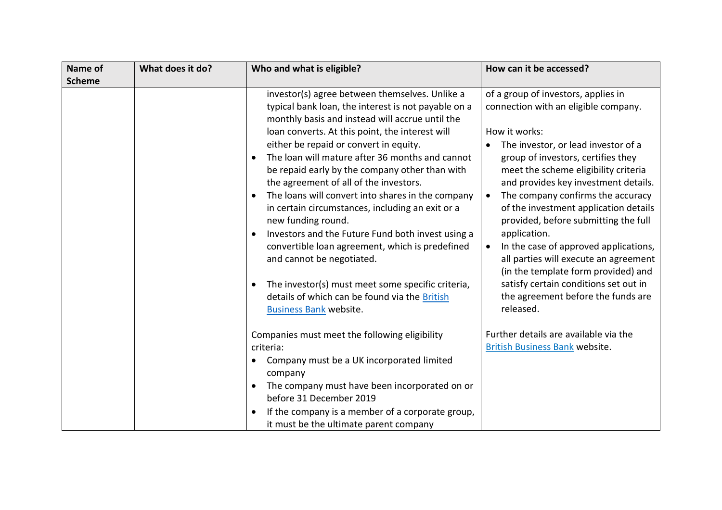| Name of       | What does it do? | Who and what is eligible?                                                                                                                                                                                                                                                                                                                                                                                                                                                                                                                                                                                                                                                                                                                                                                                                                 | How can it be accessed?                                                                                                                                                                                                                                                                                                                                                                                                                                                                                                                                                                                              |
|---------------|------------------|-------------------------------------------------------------------------------------------------------------------------------------------------------------------------------------------------------------------------------------------------------------------------------------------------------------------------------------------------------------------------------------------------------------------------------------------------------------------------------------------------------------------------------------------------------------------------------------------------------------------------------------------------------------------------------------------------------------------------------------------------------------------------------------------------------------------------------------------|----------------------------------------------------------------------------------------------------------------------------------------------------------------------------------------------------------------------------------------------------------------------------------------------------------------------------------------------------------------------------------------------------------------------------------------------------------------------------------------------------------------------------------------------------------------------------------------------------------------------|
| <b>Scheme</b> |                  |                                                                                                                                                                                                                                                                                                                                                                                                                                                                                                                                                                                                                                                                                                                                                                                                                                           |                                                                                                                                                                                                                                                                                                                                                                                                                                                                                                                                                                                                                      |
|               |                  | investor(s) agree between themselves. Unlike a<br>typical bank loan, the interest is not payable on a<br>monthly basis and instead will accrue until the<br>loan converts. At this point, the interest will<br>either be repaid or convert in equity.<br>The loan will mature after 36 months and cannot<br>$\bullet$<br>be repaid early by the company other than with<br>the agreement of all of the investors.<br>The loans will convert into shares in the company<br>in certain circumstances, including an exit or a<br>new funding round.<br>Investors and the Future Fund both invest using a<br>convertible loan agreement, which is predefined<br>and cannot be negotiated.<br>The investor(s) must meet some specific criteria,<br>$\bullet$<br>details of which can be found via the British<br><b>Business Bank website.</b> | of a group of investors, applies in<br>connection with an eligible company.<br>How it works:<br>The investor, or lead investor of a<br>group of investors, certifies they<br>meet the scheme eligibility criteria<br>and provides key investment details.<br>The company confirms the accuracy<br>of the investment application details<br>provided, before submitting the full<br>application.<br>In the case of approved applications,<br>all parties will execute an agreement<br>(in the template form provided) and<br>satisfy certain conditions set out in<br>the agreement before the funds are<br>released. |
|               |                  | Companies must meet the following eligibility<br>criteria:<br>Company must be a UK incorporated limited<br>company<br>The company must have been incorporated on or<br>$\bullet$<br>before 31 December 2019<br>If the company is a member of a corporate group,<br>it must be the ultimate parent company                                                                                                                                                                                                                                                                                                                                                                                                                                                                                                                                 | Further details are available via the<br><b>British Business Bank website.</b>                                                                                                                                                                                                                                                                                                                                                                                                                                                                                                                                       |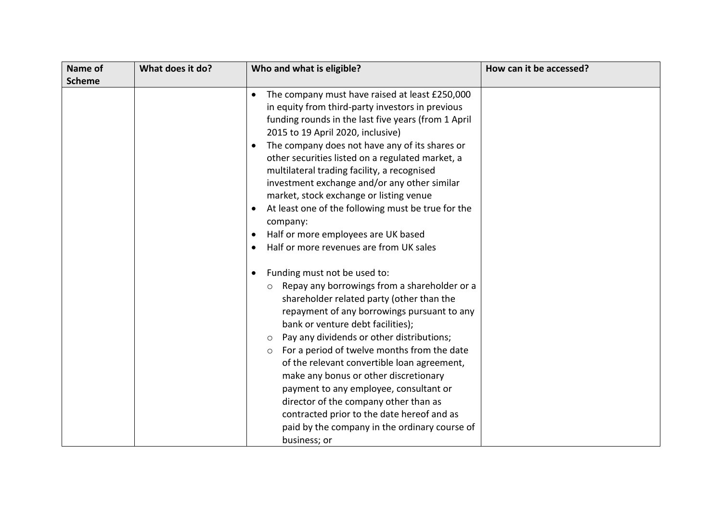| Name of       | What does it do? | Who and what is eligible?                                                                                                                                                                                                                                                                                                                                                                                                                                                                                                                                                                                                                         | How can it be accessed? |
|---------------|------------------|---------------------------------------------------------------------------------------------------------------------------------------------------------------------------------------------------------------------------------------------------------------------------------------------------------------------------------------------------------------------------------------------------------------------------------------------------------------------------------------------------------------------------------------------------------------------------------------------------------------------------------------------------|-------------------------|
| <b>Scheme</b> |                  |                                                                                                                                                                                                                                                                                                                                                                                                                                                                                                                                                                                                                                                   |                         |
|               |                  | The company must have raised at least £250,000<br>$\bullet$<br>in equity from third-party investors in previous<br>funding rounds in the last five years (from 1 April<br>2015 to 19 April 2020, inclusive)<br>The company does not have any of its shares or<br>other securities listed on a regulated market, a<br>multilateral trading facility, a recognised<br>investment exchange and/or any other similar<br>market, stock exchange or listing venue<br>At least one of the following must be true for the<br>$\bullet$<br>company:<br>Half or more employees are UK based<br>$\bullet$<br>Half or more revenues are from UK sales         |                         |
|               |                  | Funding must not be used to:<br>$\bullet$<br>Repay any borrowings from a shareholder or a<br>$\circ$<br>shareholder related party (other than the<br>repayment of any borrowings pursuant to any<br>bank or venture debt facilities);<br>Pay any dividends or other distributions;<br>$\circ$<br>For a period of twelve months from the date<br>$\circ$<br>of the relevant convertible loan agreement,<br>make any bonus or other discretionary<br>payment to any employee, consultant or<br>director of the company other than as<br>contracted prior to the date hereof and as<br>paid by the company in the ordinary course of<br>business; or |                         |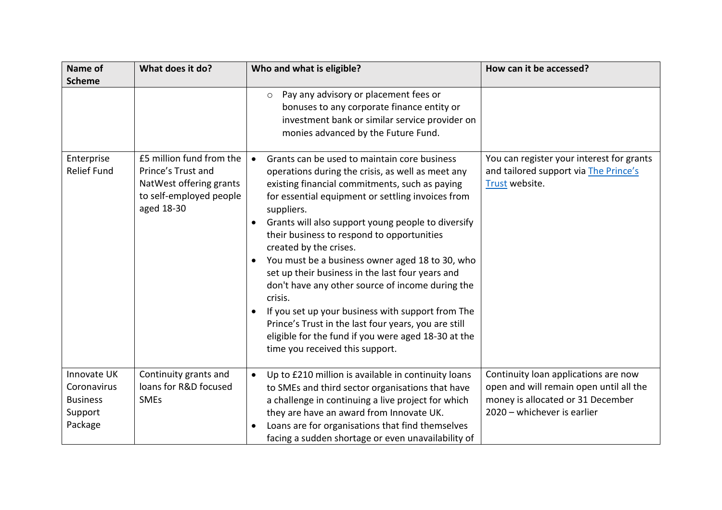| Name of                                                             | What does it do?                                                                                                   | Who and what is eligible?                                                                                                                                                                                                                                                                                                                                                                                                                                                                                                                                                                                                                                                                                                                      | How can it be accessed?                                                                                                                             |
|---------------------------------------------------------------------|--------------------------------------------------------------------------------------------------------------------|------------------------------------------------------------------------------------------------------------------------------------------------------------------------------------------------------------------------------------------------------------------------------------------------------------------------------------------------------------------------------------------------------------------------------------------------------------------------------------------------------------------------------------------------------------------------------------------------------------------------------------------------------------------------------------------------------------------------------------------------|-----------------------------------------------------------------------------------------------------------------------------------------------------|
| <b>Scheme</b>                                                       |                                                                                                                    |                                                                                                                                                                                                                                                                                                                                                                                                                                                                                                                                                                                                                                                                                                                                                |                                                                                                                                                     |
|                                                                     |                                                                                                                    | Pay any advisory or placement fees or<br>$\circ$<br>bonuses to any corporate finance entity or<br>investment bank or similar service provider on<br>monies advanced by the Future Fund.                                                                                                                                                                                                                                                                                                                                                                                                                                                                                                                                                        |                                                                                                                                                     |
| Enterprise<br><b>Relief Fund</b>                                    | £5 million fund from the<br>Prince's Trust and<br>NatWest offering grants<br>to self-employed people<br>aged 18-30 | Grants can be used to maintain core business<br>$\bullet$<br>operations during the crisis, as well as meet any<br>existing financial commitments, such as paying<br>for essential equipment or settling invoices from<br>suppliers.<br>Grants will also support young people to diversify<br>their business to respond to opportunities<br>created by the crises.<br>You must be a business owner aged 18 to 30, who<br>set up their business in the last four years and<br>don't have any other source of income during the<br>crisis.<br>If you set up your business with support from The<br>Prince's Trust in the last four years, you are still<br>eligible for the fund if you were aged 18-30 at the<br>time you received this support. | You can register your interest for grants<br>and tailored support via The Prince's<br>Trust website.                                                |
| Innovate UK<br>Coronavirus<br><b>Business</b><br>Support<br>Package | Continuity grants and<br>loans for R&D focused<br><b>SMEs</b>                                                      | Up to £210 million is available in continuity loans<br>$\bullet$<br>to SMEs and third sector organisations that have<br>a challenge in continuing a live project for which<br>they are have an award from Innovate UK.<br>Loans are for organisations that find themselves<br>facing a sudden shortage or even unavailability of                                                                                                                                                                                                                                                                                                                                                                                                               | Continuity loan applications are now<br>open and will remain open until all the<br>money is allocated or 31 December<br>2020 - whichever is earlier |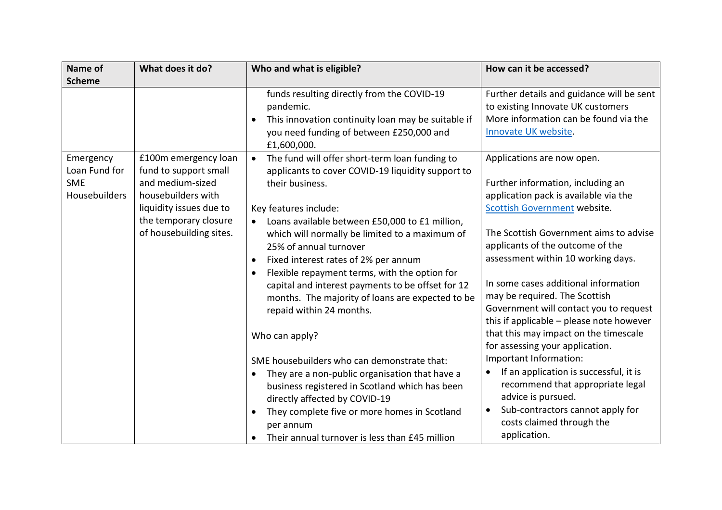| Name of                                                   | What does it do?                                                                                                                                                       | Who and what is eligible?                                                                                                                                                                                                                                                                                                                                                                                                                                                                                                                                                                                                                                                                                                                                                                   | How can it be accessed?                                                                                                                                                                                                                                                                                                                                                                                                                                                                                                                                                                                                                                                                |
|-----------------------------------------------------------|------------------------------------------------------------------------------------------------------------------------------------------------------------------------|---------------------------------------------------------------------------------------------------------------------------------------------------------------------------------------------------------------------------------------------------------------------------------------------------------------------------------------------------------------------------------------------------------------------------------------------------------------------------------------------------------------------------------------------------------------------------------------------------------------------------------------------------------------------------------------------------------------------------------------------------------------------------------------------|----------------------------------------------------------------------------------------------------------------------------------------------------------------------------------------------------------------------------------------------------------------------------------------------------------------------------------------------------------------------------------------------------------------------------------------------------------------------------------------------------------------------------------------------------------------------------------------------------------------------------------------------------------------------------------------|
| <b>Scheme</b>                                             |                                                                                                                                                                        |                                                                                                                                                                                                                                                                                                                                                                                                                                                                                                                                                                                                                                                                                                                                                                                             |                                                                                                                                                                                                                                                                                                                                                                                                                                                                                                                                                                                                                                                                                        |
|                                                           |                                                                                                                                                                        | funds resulting directly from the COVID-19<br>pandemic.<br>This innovation continuity loan may be suitable if<br>$\bullet$<br>you need funding of between £250,000 and<br>£1,600,000.                                                                                                                                                                                                                                                                                                                                                                                                                                                                                                                                                                                                       | Further details and guidance will be sent<br>to existing Innovate UK customers<br>More information can be found via the<br>Innovate UK website.                                                                                                                                                                                                                                                                                                                                                                                                                                                                                                                                        |
| Emergency<br>Loan Fund for<br><b>SME</b><br>Housebuilders | £100m emergency loan<br>fund to support small<br>and medium-sized<br>housebuilders with<br>liquidity issues due to<br>the temporary closure<br>of housebuilding sites. | The fund will offer short-term loan funding to<br>$\bullet$<br>applicants to cover COVID-19 liquidity support to<br>their business.<br>Key features include:<br>Loans available between £50,000 to £1 million,<br>which will normally be limited to a maximum of<br>25% of annual turnover<br>Fixed interest rates of 2% per annum<br>Flexible repayment terms, with the option for<br>capital and interest payments to be offset for 12<br>months. The majority of loans are expected to be<br>repaid within 24 months.<br>Who can apply?<br>SME housebuilders who can demonstrate that:<br>They are a non-public organisation that have a<br>$\bullet$<br>business registered in Scotland which has been<br>directly affected by COVID-19<br>They complete five or more homes in Scotland | Applications are now open.<br>Further information, including an<br>application pack is available via the<br>Scottish Government website.<br>The Scottish Government aims to advise<br>applicants of the outcome of the<br>assessment within 10 working days.<br>In some cases additional information<br>may be required. The Scottish<br>Government will contact you to request<br>this if applicable - please note however<br>that this may impact on the timescale<br>for assessing your application.<br>Important Information:<br>If an application is successful, it is<br>$\bullet$<br>recommend that appropriate legal<br>advice is pursued.<br>Sub-contractors cannot apply for |
|                                                           |                                                                                                                                                                        | per annum<br>Their annual turnover is less than £45 million                                                                                                                                                                                                                                                                                                                                                                                                                                                                                                                                                                                                                                                                                                                                 | costs claimed through the<br>application.                                                                                                                                                                                                                                                                                                                                                                                                                                                                                                                                                                                                                                              |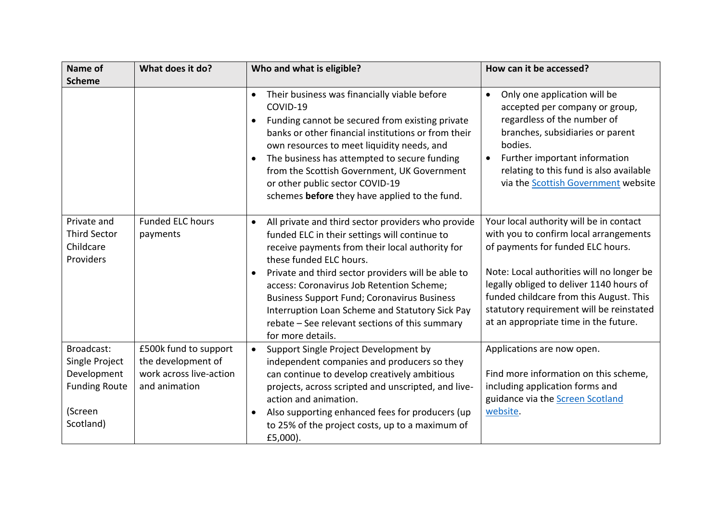| Name of                                                                                     | What does it do?                                                                        | Who and what is eligible?                                                                                                                                                                                                                                                                                                                                                                                                                                                                      | How can it be accessed?                                                                                                                                                                                                                                                                                                                         |
|---------------------------------------------------------------------------------------------|-----------------------------------------------------------------------------------------|------------------------------------------------------------------------------------------------------------------------------------------------------------------------------------------------------------------------------------------------------------------------------------------------------------------------------------------------------------------------------------------------------------------------------------------------------------------------------------------------|-------------------------------------------------------------------------------------------------------------------------------------------------------------------------------------------------------------------------------------------------------------------------------------------------------------------------------------------------|
| <b>Scheme</b>                                                                               |                                                                                         |                                                                                                                                                                                                                                                                                                                                                                                                                                                                                                |                                                                                                                                                                                                                                                                                                                                                 |
|                                                                                             |                                                                                         | Their business was financially viable before<br>$\bullet$<br>COVID-19<br>Funding cannot be secured from existing private<br>$\bullet$<br>banks or other financial institutions or from their<br>own resources to meet liquidity needs, and<br>The business has attempted to secure funding<br>$\bullet$<br>from the Scottish Government, UK Government<br>or other public sector COVID-19<br>schemes before they have applied to the fund.                                                     | Only one application will be<br>$\bullet$<br>accepted per company or group,<br>regardless of the number of<br>branches, subsidiaries or parent<br>bodies.<br>Further important information<br>relating to this fund is also available<br>via the Scottish Government website                                                                    |
| Private and<br><b>Third Sector</b><br>Childcare<br>Providers                                | <b>Funded ELC hours</b><br>payments                                                     | All private and third sector providers who provide<br>$\bullet$<br>funded ELC in their settings will continue to<br>receive payments from their local authority for<br>these funded ELC hours.<br>Private and third sector providers will be able to<br>$\bullet$<br>access: Coronavirus Job Retention Scheme;<br><b>Business Support Fund; Coronavirus Business</b><br>Interruption Loan Scheme and Statutory Sick Pay<br>rebate - See relevant sections of this summary<br>for more details. | Your local authority will be in contact<br>with you to confirm local arrangements<br>of payments for funded ELC hours.<br>Note: Local authorities will no longer be<br>legally obliged to deliver 1140 hours of<br>funded childcare from this August. This<br>statutory requirement will be reinstated<br>at an appropriate time in the future. |
| Broadcast:<br>Single Project<br>Development<br><b>Funding Route</b><br>(Screen<br>Scotland) | £500k fund to support<br>the development of<br>work across live-action<br>and animation | Support Single Project Development by<br>$\bullet$<br>independent companies and producers so they<br>can continue to develop creatively ambitious<br>projects, across scripted and unscripted, and live-<br>action and animation.<br>Also supporting enhanced fees for producers (up<br>$\bullet$<br>to 25% of the project costs, up to a maximum of<br>£5,000).                                                                                                                               | Applications are now open.<br>Find more information on this scheme,<br>including application forms and<br>guidance via the Screen Scotland<br>website.                                                                                                                                                                                          |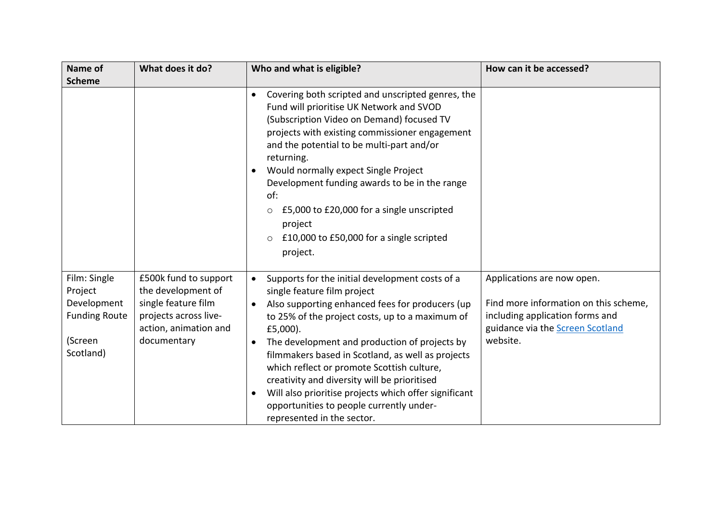| Name of<br><b>Scheme</b>                                                               | What does it do?                                                                                                                    | Who and what is eligible?                                                                                                                                                                                                                                                                                                                                                                                                                                                                                                                                            | How can it be accessed?                                                                                                                                |
|----------------------------------------------------------------------------------------|-------------------------------------------------------------------------------------------------------------------------------------|----------------------------------------------------------------------------------------------------------------------------------------------------------------------------------------------------------------------------------------------------------------------------------------------------------------------------------------------------------------------------------------------------------------------------------------------------------------------------------------------------------------------------------------------------------------------|--------------------------------------------------------------------------------------------------------------------------------------------------------|
|                                                                                        |                                                                                                                                     | Covering both scripted and unscripted genres, the<br>$\bullet$<br>Fund will prioritise UK Network and SVOD<br>(Subscription Video on Demand) focused TV<br>projects with existing commissioner engagement<br>and the potential to be multi-part and/or<br>returning.<br>Would normally expect Single Project<br>$\bullet$<br>Development funding awards to be in the range<br>of:<br>£5,000 to £20,000 for a single unscripted<br>0<br>project<br>£10,000 to £50,000 for a single scripted<br>$\circ$<br>project.                                                    |                                                                                                                                                        |
| Film: Single<br>Project<br>Development<br><b>Funding Route</b><br>(Screen<br>Scotland) | £500k fund to support<br>the development of<br>single feature film<br>projects across live-<br>action, animation and<br>documentary | Supports for the initial development costs of a<br>$\bullet$<br>single feature film project<br>Also supporting enhanced fees for producers (up<br>to 25% of the project costs, up to a maximum of<br>$£5,000$ ).<br>The development and production of projects by<br>filmmakers based in Scotland, as well as projects<br>which reflect or promote Scottish culture,<br>creativity and diversity will be prioritised<br>Will also prioritise projects which offer significant<br>$\bullet$<br>opportunities to people currently under-<br>represented in the sector. | Applications are now open.<br>Find more information on this scheme,<br>including application forms and<br>guidance via the Screen Scotland<br>website. |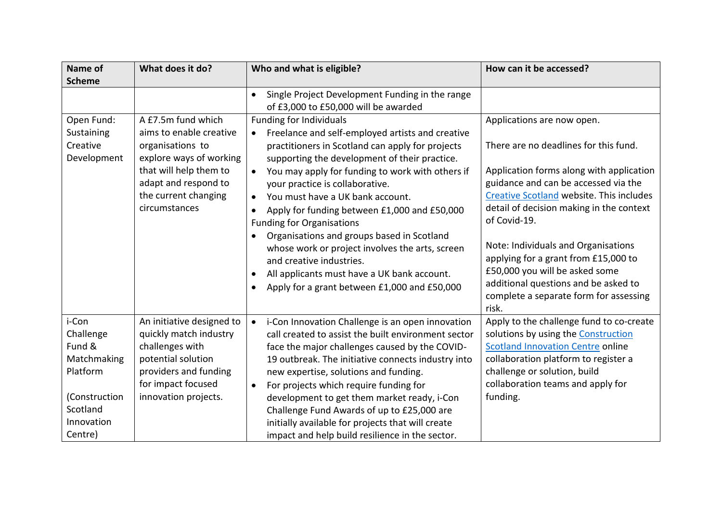| <b>Name of</b>                                                                                                | What does it do?                                                                                                                                                                        | Who and what is eligible?                                                                                                                                                                                                                                                                                                                                                                                                                                                                                                                                                                                                                                                                           | How can it be accessed?                                                                                                                                                                                                                                                                                                                                                                                                                                                     |
|---------------------------------------------------------------------------------------------------------------|-----------------------------------------------------------------------------------------------------------------------------------------------------------------------------------------|-----------------------------------------------------------------------------------------------------------------------------------------------------------------------------------------------------------------------------------------------------------------------------------------------------------------------------------------------------------------------------------------------------------------------------------------------------------------------------------------------------------------------------------------------------------------------------------------------------------------------------------------------------------------------------------------------------|-----------------------------------------------------------------------------------------------------------------------------------------------------------------------------------------------------------------------------------------------------------------------------------------------------------------------------------------------------------------------------------------------------------------------------------------------------------------------------|
| <b>Scheme</b>                                                                                                 |                                                                                                                                                                                         |                                                                                                                                                                                                                                                                                                                                                                                                                                                                                                                                                                                                                                                                                                     |                                                                                                                                                                                                                                                                                                                                                                                                                                                                             |
|                                                                                                               |                                                                                                                                                                                         | Single Project Development Funding in the range<br>$\bullet$<br>of £3,000 to £50,000 will be awarded                                                                                                                                                                                                                                                                                                                                                                                                                                                                                                                                                                                                |                                                                                                                                                                                                                                                                                                                                                                                                                                                                             |
| Open Fund:<br>Sustaining<br>Creative<br>Development                                                           | A £7.5m fund which<br>aims to enable creative<br>organisations to<br>explore ways of working<br>that will help them to<br>adapt and respond to<br>the current changing<br>circumstances | <b>Funding for Individuals</b><br>Freelance and self-employed artists and creative<br>$\bullet$<br>practitioners in Scotland can apply for projects<br>supporting the development of their practice.<br>You may apply for funding to work with others if<br>$\bullet$<br>your practice is collaborative.<br>You must have a UK bank account.<br>$\bullet$<br>Apply for funding between £1,000 and £50,000<br><b>Funding for Organisations</b><br>Organisations and groups based in Scotland<br>$\bullet$<br>whose work or project involves the arts, screen<br>and creative industries.<br>All applicants must have a UK bank account.<br>Apply for a grant between £1,000 and £50,000<br>$\bullet$ | Applications are now open.<br>There are no deadlines for this fund.<br>Application forms along with application<br>guidance and can be accessed via the<br>Creative Scotland website. This includes<br>detail of decision making in the context<br>of Covid-19.<br>Note: Individuals and Organisations<br>applying for a grant from £15,000 to<br>£50,000 you will be asked some<br>additional questions and be asked to<br>complete a separate form for assessing<br>risk. |
| i-Con<br>Challenge<br>Fund &<br>Matchmaking<br>Platform<br>(Construction<br>Scotland<br>Innovation<br>Centre) | An initiative designed to<br>quickly match industry<br>challenges with<br>potential solution<br>providers and funding<br>for impact focused<br>innovation projects.                     | i-Con Innovation Challenge is an open innovation<br>$\bullet$<br>call created to assist the built environment sector<br>face the major challenges caused by the COVID-<br>19 outbreak. The initiative connects industry into<br>new expertise, solutions and funding.<br>For projects which require funding for<br>$\bullet$<br>development to get them market ready, i-Con<br>Challenge Fund Awards of up to £25,000 are<br>initially available for projects that will create<br>impact and help build resilience in the sector.                                                                                                                                                                   | Apply to the challenge fund to co-create<br>solutions by using the Construction<br><b>Scotland Innovation Centre online</b><br>collaboration platform to register a<br>challenge or solution, build<br>collaboration teams and apply for<br>funding.                                                                                                                                                                                                                        |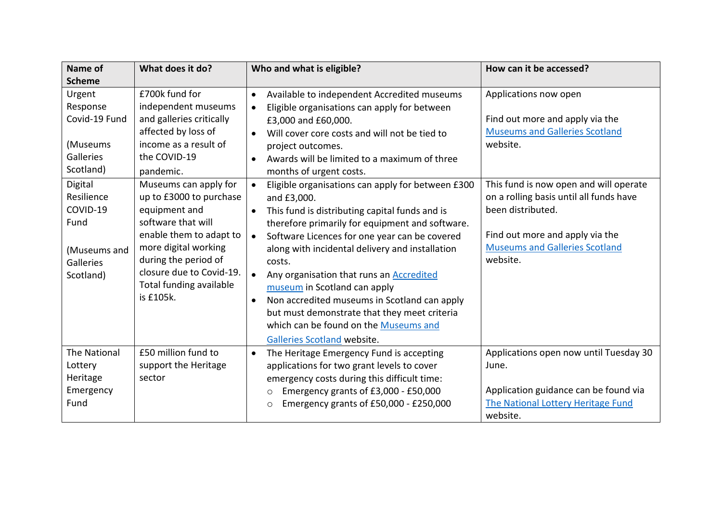| Name of<br><b>Scheme</b>                                                                                                                                         | What does it do?                                                                                                                                                                                                                                                                                                                                                                         | Who and what is eligible?                                                                                                                                                                                                                                                                                                                                                                                                                                                                                                                                                                                                                                                                                                                                                                                                                                                               | How can it be accessed?                                                                                                                                                                                                                                                                                         |
|------------------------------------------------------------------------------------------------------------------------------------------------------------------|------------------------------------------------------------------------------------------------------------------------------------------------------------------------------------------------------------------------------------------------------------------------------------------------------------------------------------------------------------------------------------------|-----------------------------------------------------------------------------------------------------------------------------------------------------------------------------------------------------------------------------------------------------------------------------------------------------------------------------------------------------------------------------------------------------------------------------------------------------------------------------------------------------------------------------------------------------------------------------------------------------------------------------------------------------------------------------------------------------------------------------------------------------------------------------------------------------------------------------------------------------------------------------------------|-----------------------------------------------------------------------------------------------------------------------------------------------------------------------------------------------------------------------------------------------------------------------------------------------------------------|
| Urgent<br>Response<br>Covid-19 Fund<br>(Museums<br>Galleries<br>Scotland)<br>Digital<br>Resilience<br>COVID-19<br>Fund<br>(Museums and<br>Galleries<br>Scotland) | £700k fund for<br>independent museums<br>and galleries critically<br>affected by loss of<br>income as a result of<br>the COVID-19<br>pandemic.<br>Museums can apply for<br>up to £3000 to purchase<br>equipment and<br>software that will<br>enable them to adapt to<br>more digital working<br>during the period of<br>closure due to Covid-19.<br>Total funding available<br>is £105k. | Available to independent Accredited museums<br>$\bullet$<br>Eligible organisations can apply for between<br>$\bullet$<br>£3,000 and £60,000.<br>Will cover core costs and will not be tied to<br>$\bullet$<br>project outcomes.<br>Awards will be limited to a maximum of three<br>$\bullet$<br>months of urgent costs.<br>Eligible organisations can apply for between £300<br>$\bullet$<br>and £3,000.<br>This fund is distributing capital funds and is<br>therefore primarily for equipment and software.<br>Software Licences for one year can be covered<br>$\bullet$<br>along with incidental delivery and installation<br>costs.<br>Any organisation that runs an Accredited<br>$\bullet$<br>museum in Scotland can apply<br>Non accredited museums in Scotland can apply<br>$\bullet$<br>but must demonstrate that they meet criteria<br>which can be found on the Museums and | Applications now open<br>Find out more and apply via the<br><b>Museums and Galleries Scotland</b><br>website.<br>This fund is now open and will operate<br>on a rolling basis until all funds have<br>been distributed.<br>Find out more and apply via the<br><b>Museums and Galleries Scotland</b><br>website. |
| The National<br>Lottery<br>Heritage<br>Emergency<br>Fund                                                                                                         | £50 million fund to<br>support the Heritage<br>sector                                                                                                                                                                                                                                                                                                                                    | Galleries Scotland website.<br>The Heritage Emergency Fund is accepting<br>$\bullet$<br>applications for two grant levels to cover<br>emergency costs during this difficult time:<br>Emergency grants of £3,000 - £50,000<br>$\circ$<br>Emergency grants of £50,000 - £250,000<br>$\circ$                                                                                                                                                                                                                                                                                                                                                                                                                                                                                                                                                                                               | Applications open now until Tuesday 30<br>June.<br>Application guidance can be found via<br>The National Lottery Heritage Fund<br>website.                                                                                                                                                                      |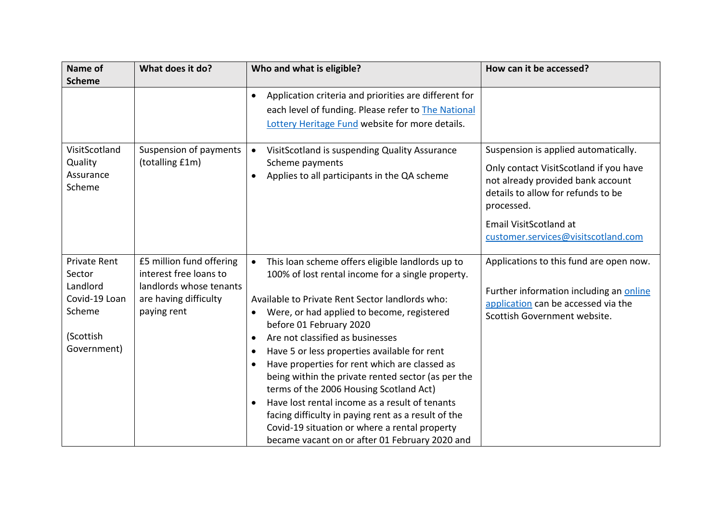| Name of                   | What does it do?                     | Who and what is eligible?                                                          | How can it be accessed?                 |
|---------------------------|--------------------------------------|------------------------------------------------------------------------------------|-----------------------------------------|
| <b>Scheme</b>             |                                      |                                                                                    |                                         |
|                           |                                      | Application criteria and priorities are different for<br>$\bullet$                 |                                         |
|                           |                                      | each level of funding. Please refer to The National                                |                                         |
|                           |                                      | Lottery Heritage Fund website for more details.                                    |                                         |
| VisitScotland             | Suspension of payments               | VisitScotland is suspending Quality Assurance<br>$\bullet$                         | Suspension is applied automatically.    |
| Quality                   | (totalling £1m)                      | Scheme payments                                                                    | Only contact VisitScotland if you have  |
| Assurance<br>Scheme       |                                      | Applies to all participants in the QA scheme<br>$\bullet$                          | not already provided bank account       |
|                           |                                      |                                                                                    | details to allow for refunds to be      |
|                           |                                      |                                                                                    | processed.                              |
|                           |                                      |                                                                                    | Email VisitScotland at                  |
|                           |                                      |                                                                                    | customer.services@visitscotland.com     |
|                           |                                      |                                                                                    |                                         |
| <b>Private Rent</b>       | £5 million fund offering             | This loan scheme offers eligible landlords up to<br>$\bullet$                      | Applications to this fund are open now. |
| Sector                    | interest free loans to               | 100% of lost rental income for a single property.                                  |                                         |
| Landlord<br>Covid-19 Loan | landlords whose tenants              |                                                                                    | Further information including an online |
| Scheme                    | are having difficulty<br>paying rent | Available to Private Rent Sector landlords who:                                    | application can be accessed via the     |
|                           |                                      | Were, or had applied to become, registered<br>$\bullet$<br>before 01 February 2020 | Scottish Government website.            |
| (Scottish                 |                                      | Are not classified as businesses<br>$\bullet$                                      |                                         |
| Government)               |                                      | Have 5 or less properties available for rent<br>$\bullet$                          |                                         |
|                           |                                      | Have properties for rent which are classed as<br>$\bullet$                         |                                         |
|                           |                                      | being within the private rented sector (as per the                                 |                                         |
|                           |                                      | terms of the 2006 Housing Scotland Act)                                            |                                         |
|                           |                                      | Have lost rental income as a result of tenants                                     |                                         |
|                           |                                      | facing difficulty in paying rent as a result of the                                |                                         |
|                           |                                      | Covid-19 situation or where a rental property                                      |                                         |
|                           |                                      | became vacant on or after 01 February 2020 and                                     |                                         |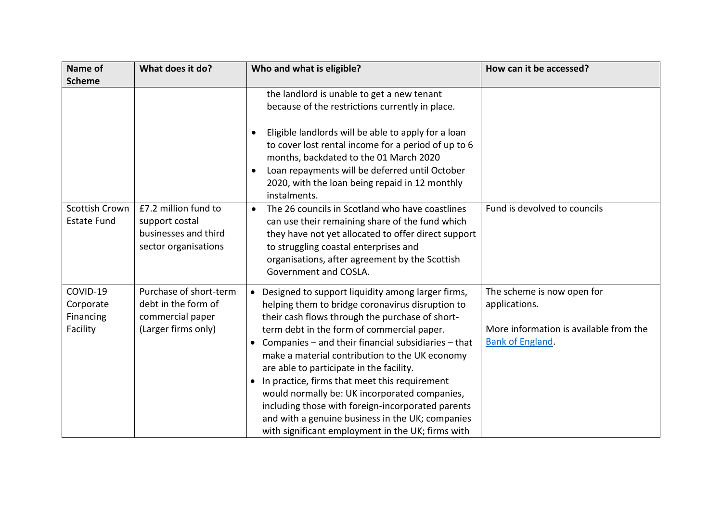| Name of                                        | What does it do?                                                                         | Who and what is eligible?                                                                                                                                                                                                                                                                                                                                                                                                                                                                                                                                                                                                             | How can it be accessed?                                                                                          |
|------------------------------------------------|------------------------------------------------------------------------------------------|---------------------------------------------------------------------------------------------------------------------------------------------------------------------------------------------------------------------------------------------------------------------------------------------------------------------------------------------------------------------------------------------------------------------------------------------------------------------------------------------------------------------------------------------------------------------------------------------------------------------------------------|------------------------------------------------------------------------------------------------------------------|
| <b>Scheme</b>                                  |                                                                                          |                                                                                                                                                                                                                                                                                                                                                                                                                                                                                                                                                                                                                                       |                                                                                                                  |
|                                                |                                                                                          | the landlord is unable to get a new tenant<br>because of the restrictions currently in place.<br>Eligible landlords will be able to apply for a loan<br>to cover lost rental income for a period of up to 6<br>months, backdated to the 01 March 2020<br>Loan repayments will be deferred until October<br>2020, with the loan being repaid in 12 monthly<br>instalments.                                                                                                                                                                                                                                                             |                                                                                                                  |
| Scottish Crown<br><b>Estate Fund</b>           | £7.2 million fund to<br>support costal<br>businesses and third<br>sector organisations   | The 26 councils in Scotland who have coastlines<br>$\bullet$<br>can use their remaining share of the fund which<br>they have not yet allocated to offer direct support<br>to struggling coastal enterprises and<br>organisations, after agreement by the Scottish<br>Government and COSLA.                                                                                                                                                                                                                                                                                                                                            | Fund is devolved to councils                                                                                     |
| COVID-19<br>Corporate<br>Financing<br>Facility | Purchase of short-term<br>debt in the form of<br>commercial paper<br>(Larger firms only) | • Designed to support liquidity among larger firms,<br>helping them to bridge coronavirus disruption to<br>their cash flows through the purchase of short-<br>term debt in the form of commercial paper.<br>• Companies $-$ and their financial subsidiaries $-$ that<br>make a material contribution to the UK economy<br>are able to participate in the facility.<br>• In practice, firms that meet this requirement<br>would normally be: UK incorporated companies,<br>including those with foreign-incorporated parents<br>and with a genuine business in the UK; companies<br>with significant employment in the UK; firms with | The scheme is now open for<br>applications.<br>More information is available from the<br><b>Bank of England.</b> |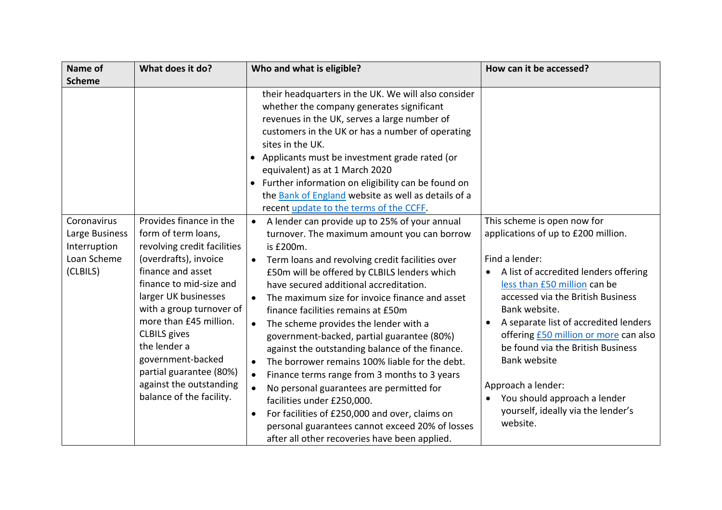| Name of                                                                  | What does it do?                                                                                                                                                                                                                                                                                                                                                                   | Who and what is eligible?                                                                                                                                                                                                                                                                                                                                                                                                                                                                                                                                                                                                                                                                                                                                                                                                                                                                                             | How can it be accessed?                                                                                                                                                                                                                                                                                                                                                                                                                                                          |
|--------------------------------------------------------------------------|------------------------------------------------------------------------------------------------------------------------------------------------------------------------------------------------------------------------------------------------------------------------------------------------------------------------------------------------------------------------------------|-----------------------------------------------------------------------------------------------------------------------------------------------------------------------------------------------------------------------------------------------------------------------------------------------------------------------------------------------------------------------------------------------------------------------------------------------------------------------------------------------------------------------------------------------------------------------------------------------------------------------------------------------------------------------------------------------------------------------------------------------------------------------------------------------------------------------------------------------------------------------------------------------------------------------|----------------------------------------------------------------------------------------------------------------------------------------------------------------------------------------------------------------------------------------------------------------------------------------------------------------------------------------------------------------------------------------------------------------------------------------------------------------------------------|
| <b>Scheme</b>                                                            |                                                                                                                                                                                                                                                                                                                                                                                    |                                                                                                                                                                                                                                                                                                                                                                                                                                                                                                                                                                                                                                                                                                                                                                                                                                                                                                                       |                                                                                                                                                                                                                                                                                                                                                                                                                                                                                  |
|                                                                          |                                                                                                                                                                                                                                                                                                                                                                                    | their headquarters in the UK. We will also consider<br>whether the company generates significant<br>revenues in the UK, serves a large number of<br>customers in the UK or has a number of operating<br>sites in the UK.<br>• Applicants must be investment grade rated (or<br>equivalent) as at 1 March 2020<br>• Further information on eligibility can be found on<br>the Bank of England website as well as details of a<br>recent update to the terms of the CCFF.                                                                                                                                                                                                                                                                                                                                                                                                                                               |                                                                                                                                                                                                                                                                                                                                                                                                                                                                                  |
| Coronavirus<br>Large Business<br>Interruption<br>Loan Scheme<br>(CLBILS) | Provides finance in the<br>form of term loans,<br>revolving credit facilities<br>(overdrafts), invoice<br>finance and asset<br>finance to mid-size and<br>larger UK businesses<br>with a group turnover of<br>more than £45 million.<br><b>CLBILS</b> gives<br>the lender a<br>government-backed<br>partial guarantee (80%)<br>against the outstanding<br>balance of the facility. | A lender can provide up to 25% of your annual<br>$\bullet$<br>turnover. The maximum amount you can borrow<br>is £200m.<br>Term loans and revolving credit facilities over<br>$\bullet$<br>£50m will be offered by CLBILS lenders which<br>have secured additional accreditation.<br>The maximum size for invoice finance and asset<br>finance facilities remains at £50m<br>The scheme provides the lender with a<br>$\bullet$<br>government-backed, partial guarantee (80%)<br>against the outstanding balance of the finance.<br>The borrower remains 100% liable for the debt.<br>$\bullet$<br>Finance terms range from 3 months to 3 years<br>$\bullet$<br>No personal guarantees are permitted for<br>$\bullet$<br>facilities under £250,000.<br>For facilities of £250,000 and over, claims on<br>$\bullet$<br>personal guarantees cannot exceed 20% of losses<br>after all other recoveries have been applied. | This scheme is open now for<br>applications of up to £200 million.<br>Find a lender:<br>A list of accredited lenders offering<br>less than £50 million can be<br>accessed via the British Business<br>Bank website.<br>A separate list of accredited lenders<br>offering <b>£50 million or more</b> can also<br>be found via the British Business<br><b>Bank website</b><br>Approach a lender:<br>You should approach a lender<br>yourself, ideally via the lender's<br>website. |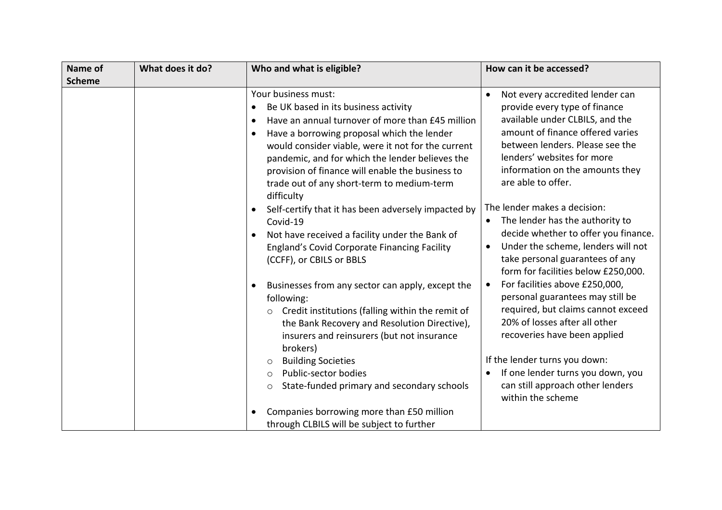| Name of       | What does it do? | Who and what is eligible?                                                                                                                                                                                                                                                                                                                                                                                                                        | How can it be accessed?                                                                                                                                                                                                                                                                                                                                                                                           |
|---------------|------------------|--------------------------------------------------------------------------------------------------------------------------------------------------------------------------------------------------------------------------------------------------------------------------------------------------------------------------------------------------------------------------------------------------------------------------------------------------|-------------------------------------------------------------------------------------------------------------------------------------------------------------------------------------------------------------------------------------------------------------------------------------------------------------------------------------------------------------------------------------------------------------------|
| <b>Scheme</b> |                  |                                                                                                                                                                                                                                                                                                                                                                                                                                                  |                                                                                                                                                                                                                                                                                                                                                                                                                   |
|               |                  | Your business must:<br>Be UK based in its business activity<br>Have an annual turnover of more than £45 million<br>$\bullet$<br>Have a borrowing proposal which the lender<br>$\bullet$<br>would consider viable, were it not for the current<br>pandemic, and for which the lender believes the<br>provision of finance will enable the business to<br>trade out of any short-term to medium-term<br>difficulty                                 | Not every accredited lender can<br>$\bullet$<br>provide every type of finance<br>available under CLBILS, and the<br>amount of finance offered varies<br>between lenders. Please see the<br>lenders' websites for more<br>information on the amounts they<br>are able to offer.                                                                                                                                    |
|               |                  | Self-certify that it has been adversely impacted by<br>$\bullet$<br>Covid-19<br>Not have received a facility under the Bank of<br>England's Covid Corporate Financing Facility<br>(CCFF), or CBILS or BBLS<br>Businesses from any sector can apply, except the<br>$\bullet$<br>following:<br>Credit institutions (falling within the remit of<br>O<br>the Bank Recovery and Resolution Directive),<br>insurers and reinsurers (but not insurance | The lender makes a decision:<br>The lender has the authority to<br>$\bullet$<br>decide whether to offer you finance.<br>Under the scheme, lenders will not<br>take personal guarantees of any<br>form for facilities below £250,000.<br>For facilities above £250,000,<br>personal guarantees may still be<br>required, but claims cannot exceed<br>20% of losses after all other<br>recoveries have been applied |
|               |                  | brokers)<br><b>Building Societies</b><br>$\circ$<br>Public-sector bodies<br>$\circ$<br>State-funded primary and secondary schools<br>$\circ$<br>Companies borrowing more than £50 million<br>$\bullet$<br>through CLBILS will be subject to further                                                                                                                                                                                              | If the lender turns you down:<br>If one lender turns you down, you<br>$\bullet$<br>can still approach other lenders<br>within the scheme                                                                                                                                                                                                                                                                          |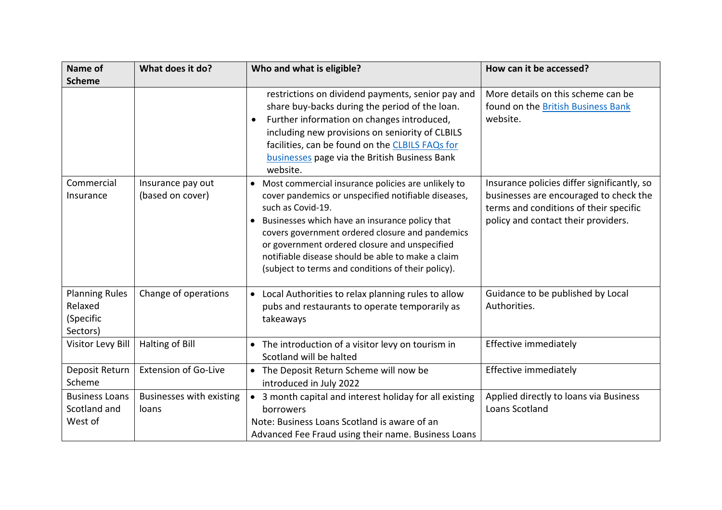| <b>Name of</b>                                            | What does it do?                      | Who and what is eligible?                                                                                                                                                                                                                                                                                                                                                                         | How can it be accessed?                                                                                                                                                |
|-----------------------------------------------------------|---------------------------------------|---------------------------------------------------------------------------------------------------------------------------------------------------------------------------------------------------------------------------------------------------------------------------------------------------------------------------------------------------------------------------------------------------|------------------------------------------------------------------------------------------------------------------------------------------------------------------------|
| <b>Scheme</b>                                             |                                       |                                                                                                                                                                                                                                                                                                                                                                                                   |                                                                                                                                                                        |
|                                                           |                                       | restrictions on dividend payments, senior pay and<br>share buy-backs during the period of the loan.<br>Further information on changes introduced,<br>$\bullet$<br>including new provisions on seniority of CLBILS<br>facilities, can be found on the CLBILS FAQs for<br>businesses page via the British Business Bank<br>website.                                                                 | More details on this scheme can be<br>found on the British Business Bank<br>website.                                                                                   |
| Commercial<br>Insurance                                   | Insurance pay out<br>(based on cover) | • Most commercial insurance policies are unlikely to<br>cover pandemics or unspecified notifiable diseases,<br>such as Covid-19.<br>Businesses which have an insurance policy that<br>covers government ordered closure and pandemics<br>or government ordered closure and unspecified<br>notifiable disease should be able to make a claim<br>(subject to terms and conditions of their policy). | Insurance policies differ significantly, so<br>businesses are encouraged to check the<br>terms and conditions of their specific<br>policy and contact their providers. |
| <b>Planning Rules</b><br>Relaxed<br>(Specific<br>Sectors) | Change of operations                  | • Local Authorities to relax planning rules to allow<br>pubs and restaurants to operate temporarily as<br>takeaways                                                                                                                                                                                                                                                                               | Guidance to be published by Local<br>Authorities.                                                                                                                      |
| Visitor Levy Bill                                         | Halting of Bill                       | • The introduction of a visitor levy on tourism in<br>Scotland will be halted                                                                                                                                                                                                                                                                                                                     | Effective immediately                                                                                                                                                  |
| Deposit Return<br>Scheme                                  | <b>Extension of Go-Live</b>           | • The Deposit Return Scheme will now be<br>introduced in July 2022                                                                                                                                                                                                                                                                                                                                | Effective immediately                                                                                                                                                  |
| <b>Business Loans</b><br>Scotland and<br>West of          | Businesses with existing<br>loans     | • 3 month capital and interest holiday for all existing<br>borrowers<br>Note: Business Loans Scotland is aware of an<br>Advanced Fee Fraud using their name. Business Loans                                                                                                                                                                                                                       | Applied directly to loans via Business<br>Loans Scotland                                                                                                               |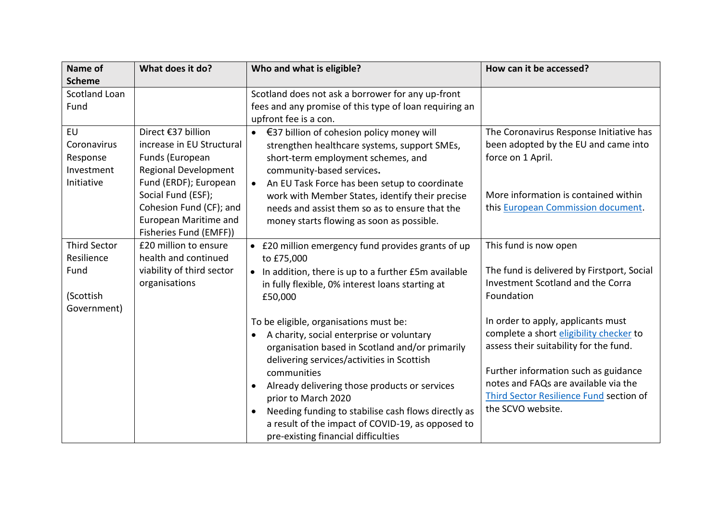| <b>Name of</b>      | What does it do?                            | Who and what is eligible?                                                                         | How can it be accessed?                                      |
|---------------------|---------------------------------------------|---------------------------------------------------------------------------------------------------|--------------------------------------------------------------|
| <b>Scheme</b>       |                                             |                                                                                                   |                                                              |
| Scotland Loan       |                                             | Scotland does not ask a borrower for any up-front                                                 |                                                              |
| Fund                |                                             | fees and any promise of this type of loan requiring an                                            |                                                              |
|                     |                                             | upfront fee is a con.                                                                             |                                                              |
| <b>EU</b>           | Direct €37 billion                          | €37 billion of cohesion policy money will<br>$\bullet$                                            | The Coronavirus Response Initiative has                      |
| Coronavirus         | increase in EU Structural                   | strengthen healthcare systems, support SMEs,                                                      | been adopted by the EU and came into                         |
| Response            | Funds (European                             | short-term employment schemes, and                                                                | force on 1 April.                                            |
| Investment          | <b>Regional Development</b>                 | community-based services.                                                                         |                                                              |
| Initiative          | Fund (ERDF); European<br>Social Fund (ESF); | An EU Task Force has been setup to coordinate<br>$\bullet$                                        | More information is contained within                         |
|                     | Cohesion Fund (CF); and                     | work with Member States, identify their precise<br>needs and assist them so as to ensure that the | this European Commission document.                           |
|                     | <b>European Maritime and</b>                | money starts flowing as soon as possible.                                                         |                                                              |
|                     | Fisheries Fund (EMFF))                      |                                                                                                   |                                                              |
| <b>Third Sector</b> | £20 million to ensure                       | • £20 million emergency fund provides grants of up                                                | This fund is now open                                        |
| Resilience          | health and continued                        | to £75,000                                                                                        |                                                              |
| Fund                | viability of third sector                   | • In addition, there is up to a further £5m available                                             | The fund is delivered by Firstport, Social                   |
|                     | organisations                               | in fully flexible, 0% interest loans starting at                                                  | Investment Scotland and the Corra                            |
| (Scottish           |                                             | £50,000                                                                                           | Foundation                                                   |
| Government)         |                                             |                                                                                                   |                                                              |
|                     |                                             | To be eligible, organisations must be:                                                            | In order to apply, applicants must                           |
|                     |                                             | A charity, social enterprise or voluntary<br>$\bullet$                                            | complete a short eligibility checker to                      |
|                     |                                             | organisation based in Scotland and/or primarily                                                   | assess their suitability for the fund.                       |
|                     |                                             | delivering services/activities in Scottish                                                        |                                                              |
|                     |                                             | communities                                                                                       | Further information such as guidance                         |
|                     |                                             | Already delivering those products or services<br>$\bullet$                                        | notes and FAQs are available via the                         |
|                     |                                             | prior to March 2020                                                                               | Third Sector Resilience Fund section of<br>the SCVO website. |
|                     |                                             | Needing funding to stabilise cash flows directly as<br>$\bullet$                                  |                                                              |
|                     |                                             | a result of the impact of COVID-19, as opposed to                                                 |                                                              |
|                     |                                             | pre-existing financial difficulties                                                               |                                                              |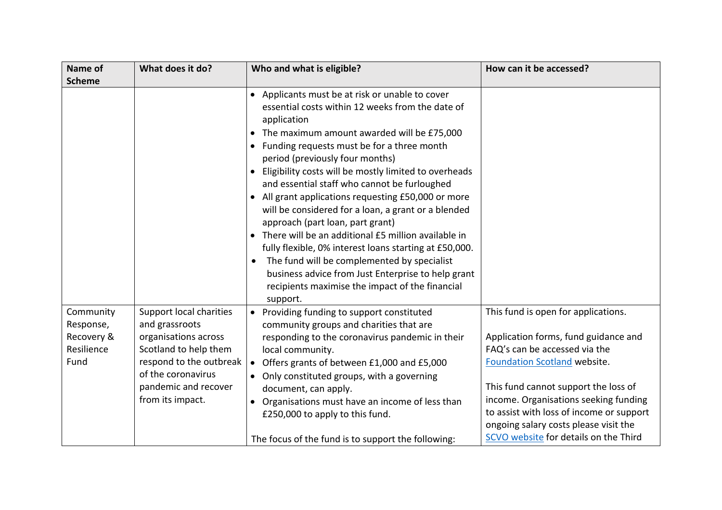| Name of                                                    | What does it do?                                                                                                                                                                        | Who and what is eligible?                                                                                                                                                                                                                                                                                                                                                                                                                                                                                                                                                                                                                                                                                                                                                                             | How can it be accessed?                                                                                                                                                                                                                                                                                                                                     |
|------------------------------------------------------------|-----------------------------------------------------------------------------------------------------------------------------------------------------------------------------------------|-------------------------------------------------------------------------------------------------------------------------------------------------------------------------------------------------------------------------------------------------------------------------------------------------------------------------------------------------------------------------------------------------------------------------------------------------------------------------------------------------------------------------------------------------------------------------------------------------------------------------------------------------------------------------------------------------------------------------------------------------------------------------------------------------------|-------------------------------------------------------------------------------------------------------------------------------------------------------------------------------------------------------------------------------------------------------------------------------------------------------------------------------------------------------------|
| <b>Scheme</b>                                              |                                                                                                                                                                                         |                                                                                                                                                                                                                                                                                                                                                                                                                                                                                                                                                                                                                                                                                                                                                                                                       |                                                                                                                                                                                                                                                                                                                                                             |
|                                                            |                                                                                                                                                                                         | • Applicants must be at risk or unable to cover<br>essential costs within 12 weeks from the date of<br>application<br>The maximum amount awarded will be £75,000<br>• Funding requests must be for a three month<br>period (previously four months)<br>Eligibility costs will be mostly limited to overheads<br>and essential staff who cannot be furloughed<br>• All grant applications requesting £50,000 or more<br>will be considered for a loan, a grant or a blended<br>approach (part loan, part grant)<br>• There will be an additional £5 million available in<br>fully flexible, 0% interest loans starting at £50,000.<br>The fund will be complemented by specialist<br>business advice from Just Enterprise to help grant<br>recipients maximise the impact of the financial<br>support. |                                                                                                                                                                                                                                                                                                                                                             |
| Community<br>Response,<br>Recovery &<br>Resilience<br>Fund | Support local charities<br>and grassroots<br>organisations across<br>Scotland to help them<br>respond to the outbreak<br>of the coronavirus<br>pandemic and recover<br>from its impact. | • Providing funding to support constituted<br>community groups and charities that are<br>responding to the coronavirus pandemic in their<br>local community.<br>• Offers grants of between £1,000 and £5,000<br>• Only constituted groups, with a governing<br>document, can apply.<br>• Organisations must have an income of less than<br>£250,000 to apply to this fund.<br>The focus of the fund is to support the following:                                                                                                                                                                                                                                                                                                                                                                      | This fund is open for applications.<br>Application forms, fund guidance and<br>FAQ's can be accessed via the<br>Foundation Scotland website.<br>This fund cannot support the loss of<br>income. Organisations seeking funding<br>to assist with loss of income or support<br>ongoing salary costs please visit the<br>SCVO website for details on the Third |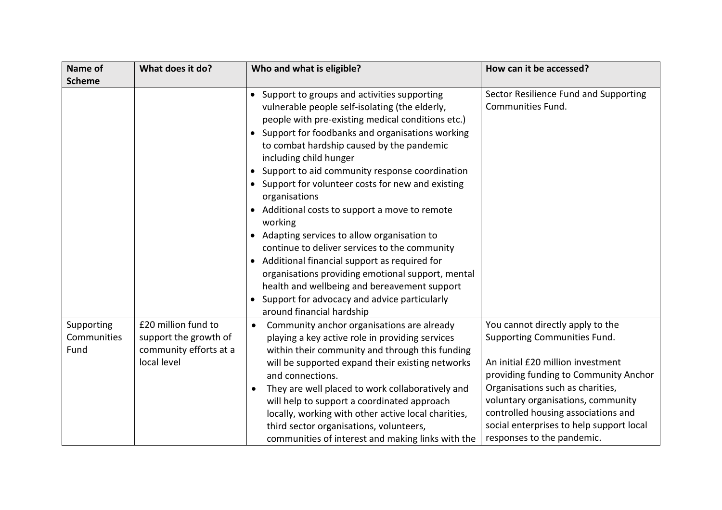| Name of<br><b>Scheme</b>          | What does it do?                                                                      | Who and what is eligible?                                                                                                                                                                                                                                                                                                                                                                                                                                                                                                                                                                                                                                                                                                                                                                                                | How can it be accessed?                                                                                                                                                                                                                                                                                                                   |
|-----------------------------------|---------------------------------------------------------------------------------------|--------------------------------------------------------------------------------------------------------------------------------------------------------------------------------------------------------------------------------------------------------------------------------------------------------------------------------------------------------------------------------------------------------------------------------------------------------------------------------------------------------------------------------------------------------------------------------------------------------------------------------------------------------------------------------------------------------------------------------------------------------------------------------------------------------------------------|-------------------------------------------------------------------------------------------------------------------------------------------------------------------------------------------------------------------------------------------------------------------------------------------------------------------------------------------|
|                                   |                                                                                       | • Support to groups and activities supporting<br>vulnerable people self-isolating (the elderly,<br>people with pre-existing medical conditions etc.)<br>• Support for foodbanks and organisations working<br>to combat hardship caused by the pandemic<br>including child hunger<br>• Support to aid community response coordination<br>• Support for volunteer costs for new and existing<br>organisations<br>Additional costs to support a move to remote<br>working<br>• Adapting services to allow organisation to<br>continue to deliver services to the community<br>Additional financial support as required for<br>$\bullet$<br>organisations providing emotional support, mental<br>health and wellbeing and bereavement support<br>• Support for advocacy and advice particularly<br>around financial hardship | Sector Resilience Fund and Supporting<br>Communities Fund.                                                                                                                                                                                                                                                                                |
| Supporting<br>Communities<br>Fund | £20 million fund to<br>support the growth of<br>community efforts at a<br>local level | Community anchor organisations are already<br>$\bullet$<br>playing a key active role in providing services<br>within their community and through this funding<br>will be supported expand their existing networks<br>and connections.<br>They are well placed to work collaboratively and<br>will help to support a coordinated approach<br>locally, working with other active local charities,<br>third sector organisations, volunteers,<br>communities of interest and making links with the                                                                                                                                                                                                                                                                                                                          | You cannot directly apply to the<br>Supporting Communities Fund.<br>An initial £20 million investment<br>providing funding to Community Anchor<br>Organisations such as charities,<br>voluntary organisations, community<br>controlled housing associations and<br>social enterprises to help support local<br>responses to the pandemic. |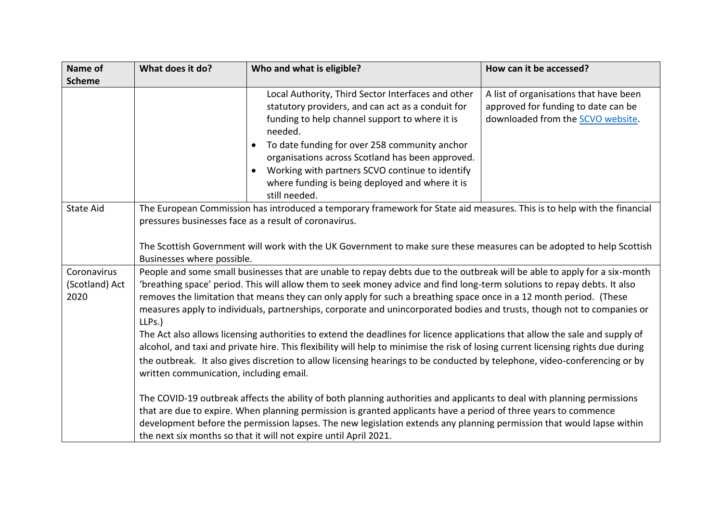| Name of                | What does it do?                                                                                                                                                                                                                                                                                                                                                                                                                                                                                                                                                                                                                                                                                                                                                                                                                 | Who and what is eligible?                                                                                                                                                                                                                                                                                                                                                                                     | How can it be accessed?                                                                                            |
|------------------------|----------------------------------------------------------------------------------------------------------------------------------------------------------------------------------------------------------------------------------------------------------------------------------------------------------------------------------------------------------------------------------------------------------------------------------------------------------------------------------------------------------------------------------------------------------------------------------------------------------------------------------------------------------------------------------------------------------------------------------------------------------------------------------------------------------------------------------|---------------------------------------------------------------------------------------------------------------------------------------------------------------------------------------------------------------------------------------------------------------------------------------------------------------------------------------------------------------------------------------------------------------|--------------------------------------------------------------------------------------------------------------------|
| <b>Scheme</b>          |                                                                                                                                                                                                                                                                                                                                                                                                                                                                                                                                                                                                                                                                                                                                                                                                                                  |                                                                                                                                                                                                                                                                                                                                                                                                               |                                                                                                                    |
|                        |                                                                                                                                                                                                                                                                                                                                                                                                                                                                                                                                                                                                                                                                                                                                                                                                                                  | Local Authority, Third Sector Interfaces and other<br>statutory providers, and can act as a conduit for<br>funding to help channel support to where it is<br>needed.<br>To date funding for over 258 community anchor<br>organisations across Scotland has been approved.<br>Working with partners SCVO continue to identify<br>$\bullet$<br>where funding is being deployed and where it is<br>still needed. | A list of organisations that have been<br>approved for funding to date can be<br>downloaded from the SCVO website. |
| <b>State Aid</b>       | The European Commission has introduced a temporary framework for State aid measures. This is to help with the financial<br>pressures businesses face as a result of coronavirus.<br>The Scottish Government will work with the UK Government to make sure these measures can be adopted to help Scottish<br>Businesses where possible.                                                                                                                                                                                                                                                                                                                                                                                                                                                                                           |                                                                                                                                                                                                                                                                                                                                                                                                               |                                                                                                                    |
| Coronavirus            | People and some small businesses that are unable to repay debts due to the outbreak will be able to apply for a six-month                                                                                                                                                                                                                                                                                                                                                                                                                                                                                                                                                                                                                                                                                                        |                                                                                                                                                                                                                                                                                                                                                                                                               |                                                                                                                    |
| (Scotland) Act<br>2020 | 'breathing space' period. This will allow them to seek money advice and find long-term solutions to repay debts. It also<br>removes the limitation that means they can only apply for such a breathing space once in a 12 month period. (These<br>measures apply to individuals, partnerships, corporate and unincorporated bodies and trusts, though not to companies or<br>LLPs.)<br>The Act also allows licensing authorities to extend the deadlines for licence applications that allow the sale and supply of<br>alcohol, and taxi and private hire. This flexibility will help to minimise the risk of losing current licensing rights due during<br>the outbreak. It also gives discretion to allow licensing hearings to be conducted by telephone, video-conferencing or by<br>written communication, including email. |                                                                                                                                                                                                                                                                                                                                                                                                               |                                                                                                                    |
|                        | The COVID-19 outbreak affects the ability of both planning authorities and applicants to deal with planning permissions<br>that are due to expire. When planning permission is granted applicants have a period of three years to commence<br>development before the permission lapses. The new legislation extends any planning permission that would lapse within<br>the next six months so that it will not expire until April 2021.                                                                                                                                                                                                                                                                                                                                                                                          |                                                                                                                                                                                                                                                                                                                                                                                                               |                                                                                                                    |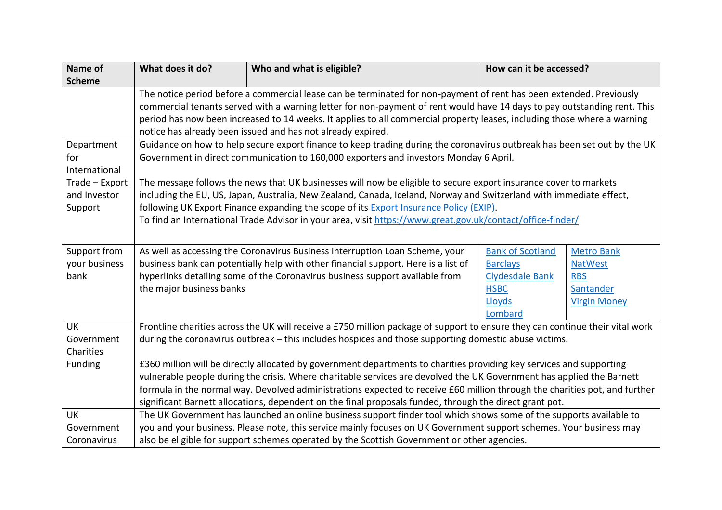| Name of        | What does it do?                                                                                                             | Who and what is eligible?                                                                                                     | How can it be accessed? |                     |
|----------------|------------------------------------------------------------------------------------------------------------------------------|-------------------------------------------------------------------------------------------------------------------------------|-------------------------|---------------------|
| <b>Scheme</b>  |                                                                                                                              |                                                                                                                               |                         |                     |
|                | The notice period before a commercial lease can be terminated for non-payment of rent has been extended. Previously          |                                                                                                                               |                         |                     |
|                | commercial tenants served with a warning letter for non-payment of rent would have 14 days to pay outstanding rent. This     |                                                                                                                               |                         |                     |
|                | period has now been increased to 14 weeks. It applies to all commercial property leases, including those where a warning     |                                                                                                                               |                         |                     |
|                | notice has already been issued and has not already expired.                                                                  |                                                                                                                               |                         |                     |
| Department     |                                                                                                                              | Guidance on how to help secure export finance to keep trading during the coronavirus outbreak has been set out by the UK      |                         |                     |
| for            |                                                                                                                              | Government in direct communication to 160,000 exporters and investors Monday 6 April.                                         |                         |                     |
| International  |                                                                                                                              |                                                                                                                               |                         |                     |
| Trade - Export |                                                                                                                              | The message follows the news that UK businesses will now be eligible to secure export insurance cover to markets              |                         |                     |
| and Investor   |                                                                                                                              | including the EU, US, Japan, Australia, New Zealand, Canada, Iceland, Norway and Switzerland with immediate effect,           |                         |                     |
| Support        |                                                                                                                              | following UK Export Finance expanding the scope of its Export Insurance Policy (EXIP).                                        |                         |                     |
|                |                                                                                                                              | To find an International Trade Advisor in your area, visit https://www.great.gov.uk/contact/office-finder/                    |                         |                     |
|                |                                                                                                                              |                                                                                                                               |                         |                     |
| Support from   | <b>Bank of Scotland</b><br>As well as accessing the Coronavirus Business Interruption Loan Scheme, your<br><b>Metro Bank</b> |                                                                                                                               |                         |                     |
| your business  |                                                                                                                              | business bank can potentially help with other financial support. Here is a list of                                            | <b>Barclays</b>         | <b>NatWest</b>      |
| bank           |                                                                                                                              | hyperlinks detailing some of the Coronavirus business support available from                                                  | Clydesdale Bank         | <b>RBS</b>          |
|                | the major business banks                                                                                                     |                                                                                                                               | <b>HSBC</b>             | Santander           |
|                |                                                                                                                              |                                                                                                                               | Lloyds                  | <b>Virgin Money</b> |
|                |                                                                                                                              |                                                                                                                               | Lombard                 |                     |
| <b>UK</b>      |                                                                                                                              | Frontline charities across the UK will receive a £750 million package of support to ensure they can continue their vital work |                         |                     |
| Government     |                                                                                                                              | during the coronavirus outbreak – this includes hospices and those supporting domestic abuse victims.                         |                         |                     |
| Charities      |                                                                                                                              |                                                                                                                               |                         |                     |
| Funding        |                                                                                                                              | £360 million will be directly allocated by government departments to charities providing key services and supporting          |                         |                     |
|                |                                                                                                                              | vulnerable people during the crisis. Where charitable services are devolved the UK Government has applied the Barnett         |                         |                     |
|                |                                                                                                                              | formula in the normal way. Devolved administrations expected to receive £60 million through the charities pot, and further    |                         |                     |
|                |                                                                                                                              | significant Barnett allocations, dependent on the final proposals funded, through the direct grant pot.                       |                         |                     |
| <b>UK</b>      |                                                                                                                              | The UK Government has launched an online business support finder tool which shows some of the supports available to           |                         |                     |
| Government     |                                                                                                                              | you and your business. Please note, this service mainly focuses on UK Government support schemes. Your business may           |                         |                     |
| Coronavirus    | also be eligible for support schemes operated by the Scottish Government or other agencies.                                  |                                                                                                                               |                         |                     |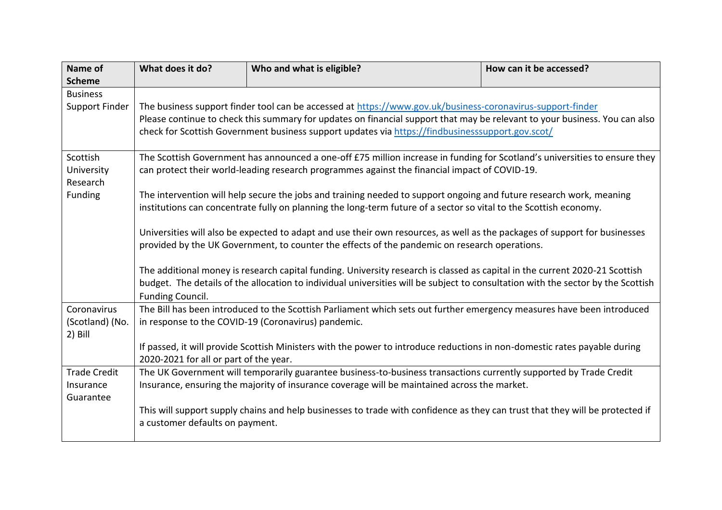| Name of             | What does it do?                                                                                                                 | Who and what is eligible?                                                                                                     | How can it be accessed? |  |  |
|---------------------|----------------------------------------------------------------------------------------------------------------------------------|-------------------------------------------------------------------------------------------------------------------------------|-------------------------|--|--|
| <b>Scheme</b>       |                                                                                                                                  |                                                                                                                               |                         |  |  |
| <b>Business</b>     |                                                                                                                                  |                                                                                                                               |                         |  |  |
| Support Finder      | The business support finder tool can be accessed at https://www.gov.uk/business-coronavirus-support-finder                       |                                                                                                                               |                         |  |  |
|                     | Please continue to check this summary for updates on financial support that may be relevant to your business. You can also       |                                                                                                                               |                         |  |  |
|                     | check for Scottish Government business support updates via https://findbusinesssupport.gov.scot/                                 |                                                                                                                               |                         |  |  |
|                     |                                                                                                                                  |                                                                                                                               |                         |  |  |
| Scottish            |                                                                                                                                  | The Scottish Government has announced a one-off £75 million increase in funding for Scotland's universities to ensure they    |                         |  |  |
| University          |                                                                                                                                  | can protect their world-leading research programmes against the financial impact of COVID-19.                                 |                         |  |  |
| Research            |                                                                                                                                  |                                                                                                                               |                         |  |  |
| Funding             |                                                                                                                                  | The intervention will help secure the jobs and training needed to support ongoing and future research work, meaning           |                         |  |  |
|                     |                                                                                                                                  | institutions can concentrate fully on planning the long-term future of a sector so vital to the Scottish economy.             |                         |  |  |
|                     |                                                                                                                                  |                                                                                                                               |                         |  |  |
|                     | Universities will also be expected to adapt and use their own resources, as well as the packages of support for businesses       |                                                                                                                               |                         |  |  |
|                     | provided by the UK Government, to counter the effects of the pandemic on research operations.                                    |                                                                                                                               |                         |  |  |
|                     |                                                                                                                                  |                                                                                                                               |                         |  |  |
|                     | The additional money is research capital funding. University research is classed as capital in the current 2020-21 Scottish      |                                                                                                                               |                         |  |  |
|                     | budget. The details of the allocation to individual universities will be subject to consultation with the sector by the Scottish |                                                                                                                               |                         |  |  |
|                     | Funding Council.                                                                                                                 |                                                                                                                               |                         |  |  |
| Coronavirus         | The Bill has been introduced to the Scottish Parliament which sets out further emergency measures have been introduced           |                                                                                                                               |                         |  |  |
| (Scotland) (No.     | in response to the COVID-19 (Coronavirus) pandemic.                                                                              |                                                                                                                               |                         |  |  |
| $2)$ Bill           |                                                                                                                                  |                                                                                                                               |                         |  |  |
|                     |                                                                                                                                  | If passed, it will provide Scottish Ministers with the power to introduce reductions in non-domestic rates payable during     |                         |  |  |
|                     | 2020-2021 for all or part of the year.                                                                                           |                                                                                                                               |                         |  |  |
| <b>Trade Credit</b> |                                                                                                                                  | The UK Government will temporarily guarantee business-to-business transactions currently supported by Trade Credit            |                         |  |  |
| Insurance           |                                                                                                                                  | Insurance, ensuring the majority of insurance coverage will be maintained across the market.                                  |                         |  |  |
| Guarantee           |                                                                                                                                  |                                                                                                                               |                         |  |  |
|                     |                                                                                                                                  | This will support supply chains and help businesses to trade with confidence as they can trust that they will be protected if |                         |  |  |
|                     | a customer defaults on payment.                                                                                                  |                                                                                                                               |                         |  |  |
|                     |                                                                                                                                  |                                                                                                                               |                         |  |  |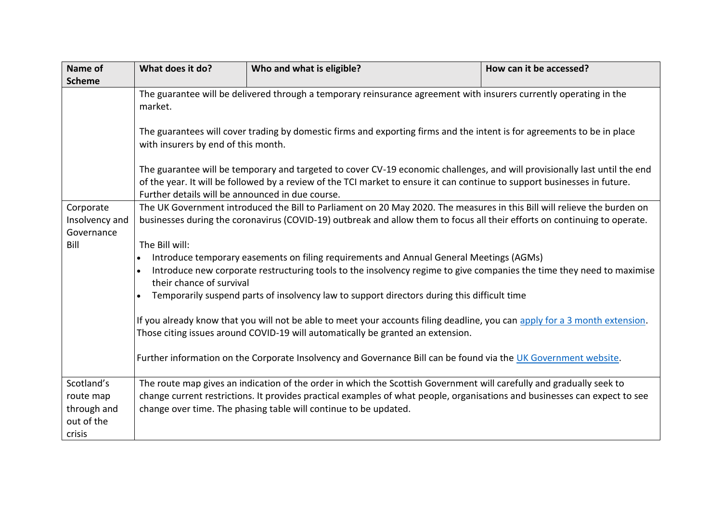| Name of        | What does it do?                                                                                                                                                                                                                                                                                            | Who and what is eligible?                                                                                                  | How can it be accessed? |  |
|----------------|-------------------------------------------------------------------------------------------------------------------------------------------------------------------------------------------------------------------------------------------------------------------------------------------------------------|----------------------------------------------------------------------------------------------------------------------------|-------------------------|--|
| <b>Scheme</b>  |                                                                                                                                                                                                                                                                                                             |                                                                                                                            |                         |  |
|                | The guarantee will be delivered through a temporary reinsurance agreement with insurers currently operating in the<br>market.<br>The guarantees will cover trading by domestic firms and exporting firms and the intent is for agreements to be in place<br>with insurers by end of this month.             |                                                                                                                            |                         |  |
|                | The guarantee will be temporary and targeted to cover CV-19 economic challenges, and will provisionally last until the end<br>of the year. It will be followed by a review of the TCI market to ensure it can continue to support businesses in future.<br>Further details will be announced in due course. |                                                                                                                            |                         |  |
| Corporate      |                                                                                                                                                                                                                                                                                                             | The UK Government introduced the Bill to Parliament on 20 May 2020. The measures in this Bill will relieve the burden on   |                         |  |
| Insolvency and |                                                                                                                                                                                                                                                                                                             | businesses during the coronavirus (COVID-19) outbreak and allow them to focus all their efforts on continuing to operate.  |                         |  |
| Governance     |                                                                                                                                                                                                                                                                                                             |                                                                                                                            |                         |  |
| Bill           | The Bill will:                                                                                                                                                                                                                                                                                              |                                                                                                                            |                         |  |
|                | Introduce temporary easements on filing requirements and Annual General Meetings (AGMs)<br>$\bullet$                                                                                                                                                                                                        |                                                                                                                            |                         |  |
|                | Introduce new corporate restructuring tools to the insolvency regime to give companies the time they need to maximise<br>$\bullet$                                                                                                                                                                          |                                                                                                                            |                         |  |
|                | their chance of survival                                                                                                                                                                                                                                                                                    |                                                                                                                            |                         |  |
|                | Temporarily suspend parts of insolvency law to support directors during this difficult time<br>$\bullet$                                                                                                                                                                                                    |                                                                                                                            |                         |  |
|                | If you already know that you will not be able to meet your accounts filing deadline, you can apply for a 3 month extension.<br>Those citing issues around COVID-19 will automatically be granted an extension.                                                                                              |                                                                                                                            |                         |  |
|                | Further information on the Corporate Insolvency and Governance Bill can be found via the UK Government website.                                                                                                                                                                                             |                                                                                                                            |                         |  |
| Scotland's     |                                                                                                                                                                                                                                                                                                             | The route map gives an indication of the order in which the Scottish Government will carefully and gradually seek to       |                         |  |
| route map      |                                                                                                                                                                                                                                                                                                             | change current restrictions. It provides practical examples of what people, organisations and businesses can expect to see |                         |  |
| through and    |                                                                                                                                                                                                                                                                                                             | change over time. The phasing table will continue to be updated.                                                           |                         |  |
| out of the     |                                                                                                                                                                                                                                                                                                             |                                                                                                                            |                         |  |
| crisis         |                                                                                                                                                                                                                                                                                                             |                                                                                                                            |                         |  |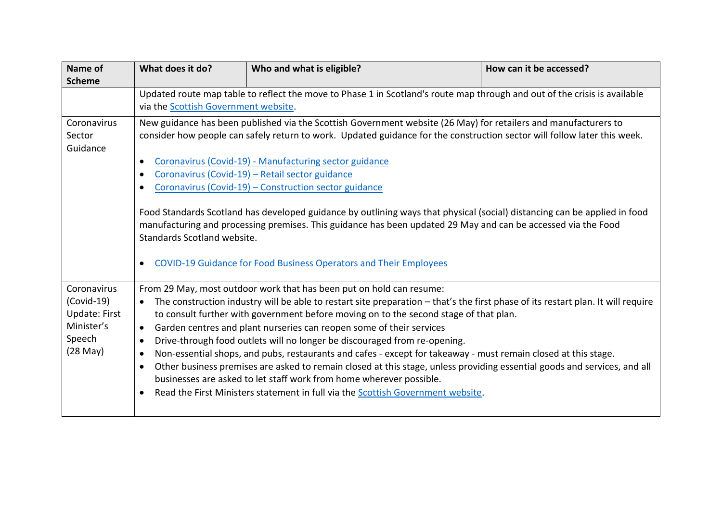| Name of                                                                                      | What does it do?                                                                                                                                                                                                                                                                                                                                                                                                               | Who and what is eligible?                                                                                                                                                                                                                                                                                                                                                                                                                                                                                                                                                                                                                                                                                                                                                                                                                                      | How can it be accessed? |  |
|----------------------------------------------------------------------------------------------|--------------------------------------------------------------------------------------------------------------------------------------------------------------------------------------------------------------------------------------------------------------------------------------------------------------------------------------------------------------------------------------------------------------------------------|----------------------------------------------------------------------------------------------------------------------------------------------------------------------------------------------------------------------------------------------------------------------------------------------------------------------------------------------------------------------------------------------------------------------------------------------------------------------------------------------------------------------------------------------------------------------------------------------------------------------------------------------------------------------------------------------------------------------------------------------------------------------------------------------------------------------------------------------------------------|-------------------------|--|
| <b>Scheme</b>                                                                                | Updated route map table to reflect the move to Phase 1 in Scotland's route map through and out of the crisis is available<br>via the Scottish Government website.                                                                                                                                                                                                                                                              |                                                                                                                                                                                                                                                                                                                                                                                                                                                                                                                                                                                                                                                                                                                                                                                                                                                                |                         |  |
| Coronavirus<br>Sector<br>Guidance                                                            | New guidance has been published via the Scottish Government website (26 May) for retailers and manufacturers to<br>consider how people can safely return to work. Updated guidance for the construction sector will follow later this week.<br>Coronavirus (Covid-19) - Manufacturing sector guidance<br>Coronavirus (Covid-19) - Retail sector guidance<br>Coronavirus (Covid-19) - Construction sector guidance<br>$\bullet$ |                                                                                                                                                                                                                                                                                                                                                                                                                                                                                                                                                                                                                                                                                                                                                                                                                                                                |                         |  |
|                                                                                              | Food Standards Scotland has developed guidance by outlining ways that physical (social) distancing can be applied in food<br>manufacturing and processing premises. This guidance has been updated 29 May and can be accessed via the Food<br>Standards Scotland website.<br><b>COVID-19 Guidance for Food Business Operators and Their Employees</b>                                                                          |                                                                                                                                                                                                                                                                                                                                                                                                                                                                                                                                                                                                                                                                                                                                                                                                                                                                |                         |  |
| Coronavirus<br>$(Covid-19)$<br><b>Update: First</b><br>Minister's<br>Speech<br>$(28$ May $)$ | $\bullet$<br>$\bullet$<br>$\bullet$<br>$\bullet$                                                                                                                                                                                                                                                                                                                                                                               | From 29 May, most outdoor work that has been put on hold can resume:<br>The construction industry will be able to restart site preparation – that's the first phase of its restart plan. It will require<br>to consult further with government before moving on to the second stage of that plan.<br>Garden centres and plant nurseries can reopen some of their services<br>Drive-through food outlets will no longer be discouraged from re-opening.<br>Non-essential shops, and pubs, restaurants and cafes - except for takeaway - must remain closed at this stage.<br>Other business premises are asked to remain closed at this stage, unless providing essential goods and services, and all<br>businesses are asked to let staff work from home wherever possible.<br>Read the First Ministers statement in full via the Scottish Government website. |                         |  |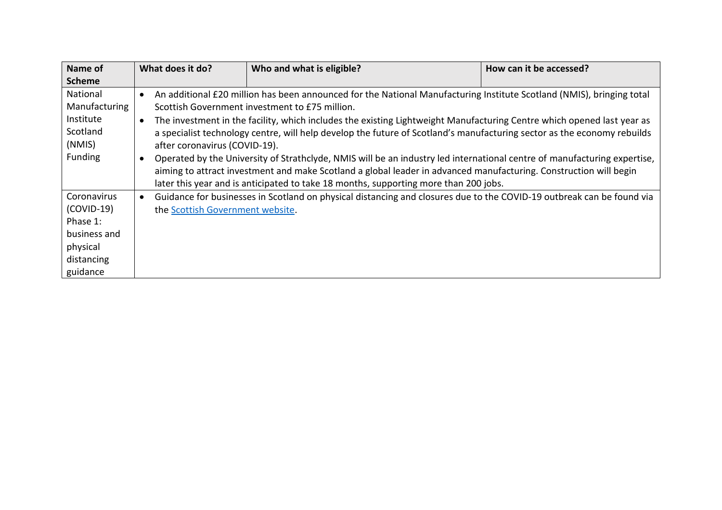| Name of       |           | What does it do?                                                                                                      | Who and what is eligible?                                                                                                | How can it be accessed? |
|---------------|-----------|-----------------------------------------------------------------------------------------------------------------------|--------------------------------------------------------------------------------------------------------------------------|-------------------------|
| <b>Scheme</b> |           |                                                                                                                       |                                                                                                                          |                         |
| National      |           |                                                                                                                       | An additional £20 million has been announced for the National Manufacturing Institute Scotland (NMIS), bringing total    |                         |
| Manufacturing |           | Scottish Government investment to £75 million.                                                                        |                                                                                                                          |                         |
| Institute     | $\bullet$ |                                                                                                                       | The investment in the facility, which includes the existing Lightweight Manufacturing Centre which opened last year as   |                         |
| Scotland      |           |                                                                                                                       | a specialist technology centre, will help develop the future of Scotland's manufacturing sector as the economy rebuilds  |                         |
| (NMIS)        |           | after coronavirus (COVID-19).                                                                                         |                                                                                                                          |                         |
| Funding       |           |                                                                                                                       | Operated by the University of Strathclyde, NMIS will be an industry led international centre of manufacturing expertise, |                         |
|               |           |                                                                                                                       | aiming to attract investment and make Scotland a global leader in advanced manufacturing. Construction will begin        |                         |
|               |           |                                                                                                                       | later this year and is anticipated to take 18 months, supporting more than 200 jobs.                                     |                         |
| Coronavirus   | $\bullet$ | Guidance for businesses in Scotland on physical distancing and closures due to the COVID-19 outbreak can be found via |                                                                                                                          |                         |
| (COVID-19)    |           | the Scottish Government website.                                                                                      |                                                                                                                          |                         |
| Phase 1:      |           |                                                                                                                       |                                                                                                                          |                         |
| business and  |           |                                                                                                                       |                                                                                                                          |                         |
| physical      |           |                                                                                                                       |                                                                                                                          |                         |
| distancing    |           |                                                                                                                       |                                                                                                                          |                         |
| guidance      |           |                                                                                                                       |                                                                                                                          |                         |